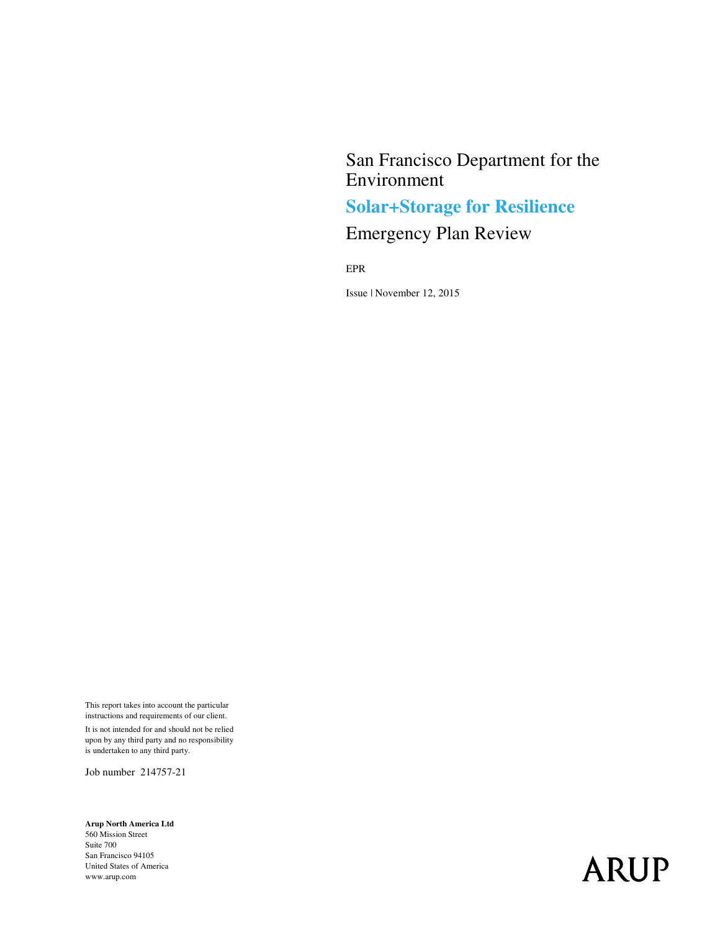## San Francisco Department for the Environment

# **Solar+Storage for Resilience**

# Emergency Plan Review

EPR

Issue | November 12, 2015

This report takes into account the particular instructions and requirements of our client.

It is not intended for and should not be relied upon by any third party and no responsibility is undertaken to any third party.

Job number 214757-21

**Arup North America Ltd**  560 Mission Street Suite 700 San Francisco 94105 United States of America www.arup.com

# **ARUP**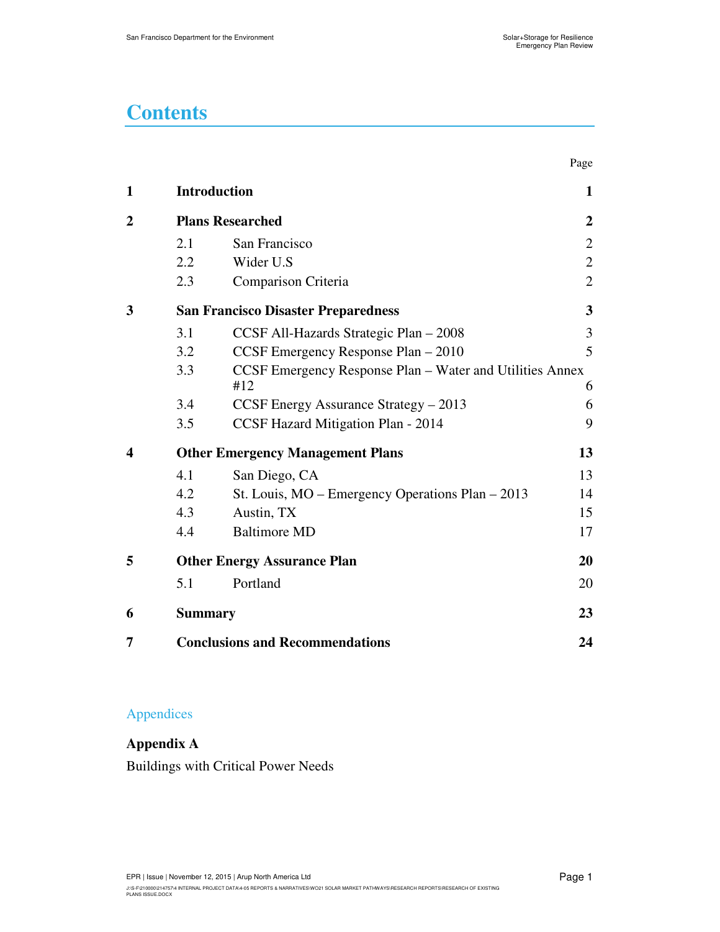# **Contents**

|                  |                |                                                                 | Page           |
|------------------|----------------|-----------------------------------------------------------------|----------------|
| $\mathbf{1}$     |                | <b>Introduction</b>                                             | 1              |
| $\overline{2}$   |                | <b>Plans Researched</b>                                         | $\overline{2}$ |
|                  | 2.1            | San Francisco                                                   | $\overline{2}$ |
|                  | 2.2            | Wider U.S                                                       | $\mathbf{2}$   |
|                  | 2.3            | Comparison Criteria                                             | $\overline{2}$ |
| 3                |                | <b>San Francisco Disaster Preparedness</b>                      | 3              |
|                  | 3.1            | CCSF All-Hazards Strategic Plan - 2008                          | 3              |
|                  | 3.2            | CCSF Emergency Response Plan - 2010                             | 5              |
|                  | 3.3            | CCSF Emergency Response Plan – Water and Utilities Annex<br>#12 | 6              |
|                  | 3.4            | CCSF Energy Assurance Strategy – 2013                           | 6              |
|                  | 3.5            | CCSF Hazard Mitigation Plan - 2014                              | 9              |
| $\boldsymbol{4}$ |                | <b>Other Emergency Management Plans</b>                         | 13             |
|                  | 4.1            | San Diego, CA                                                   | 13             |
|                  | 4.2            | St. Louis, MO - Emergency Operations Plan - 2013                | 14             |
|                  | 4.3            | Austin, TX                                                      | 15             |
|                  | 4.4            | <b>Baltimore MD</b>                                             | 17             |
| 5                |                | <b>Other Energy Assurance Plan</b>                              | 20             |
|                  | 5.1            | Portland                                                        | 20             |
| 6                | <b>Summary</b> |                                                                 | 23             |
| 7                |                | <b>Conclusions and Recommendations</b>                          | 24             |

#### Appendices

**Appendix A** Buildings with Critical Power Needs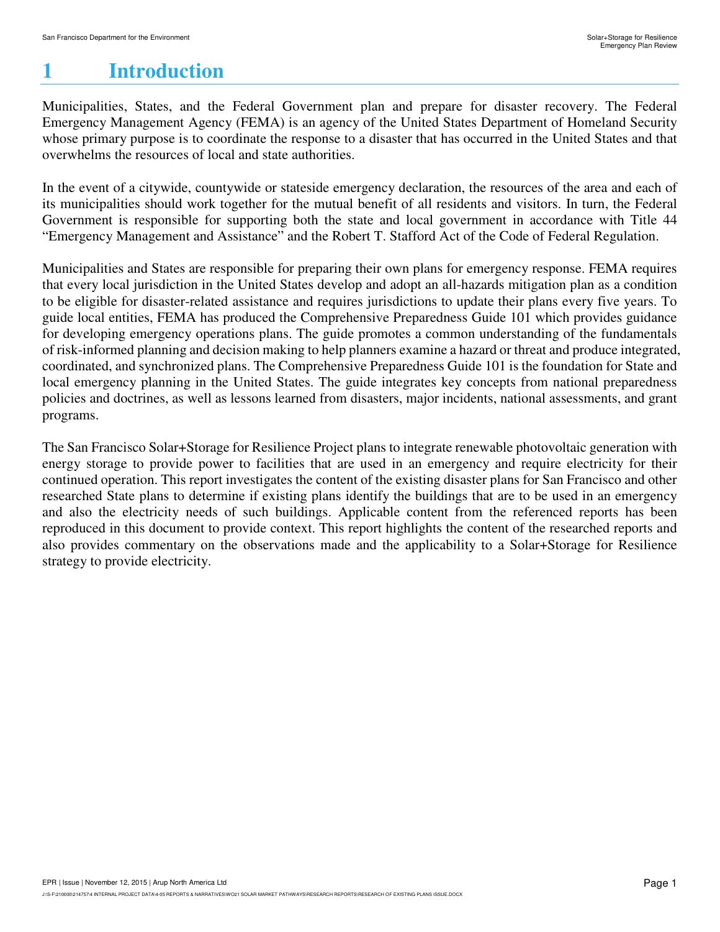# **1 Introduction**

Municipalities, States, and the Federal Government plan and prepare for disaster recovery. The Federal Emergency Management Agency (FEMA) is an agency of the United States Department of Homeland Security whose primary purpose is to coordinate the response to a disaster that has occurred in the United States and that overwhelms the resources of local and state authorities.

In the event of a citywide, countywide or stateside emergency declaration, the resources of the area and each of its municipalities should work together for the mutual benefit of all residents and visitors. In turn, the Federal Government is responsible for supporting both the state and local government in accordance with Title 44 "Emergency Management and Assistance" and the Robert T. Stafford Act of the Code of Federal Regulation.

Municipalities and States are responsible for preparing their own plans for emergency response. FEMA requires that every local jurisdiction in the United States develop and adopt an all-hazards mitigation plan as a condition to be eligible for disaster-related assistance and requires jurisdictions to update their plans every five years. To guide local entities, FEMA has produced the Comprehensive Preparedness Guide 101 which provides guidance for developing emergency operations plans. The guide promotes a common understanding of the fundamentals of risk-informed planning and decision making to help planners examine a hazard or threat and produce integrated, coordinated, and synchronized plans. The Comprehensive Preparedness Guide 101 is the foundation for State and local emergency planning in the United States. The guide integrates key concepts from national preparedness policies and doctrines, as well as lessons learned from disasters, major incidents, national assessments, and grant programs.

The San Francisco Solar+Storage for Resilience Project plans to integrate renewable photovoltaic generation with energy storage to provide power to facilities that are used in an emergency and require electricity for their continued operation. This report investigates the content of the existing disaster plans for San Francisco and other researched State plans to determine if existing plans identify the buildings that are to be used in an emergency and also the electricity needs of such buildings. Applicable content from the referenced reports has been reproduced in this document to provide context. This report highlights the content of the researched reports and also provides commentary on the observations made and the applicability to a Solar+Storage for Resilience strategy to provide electricity.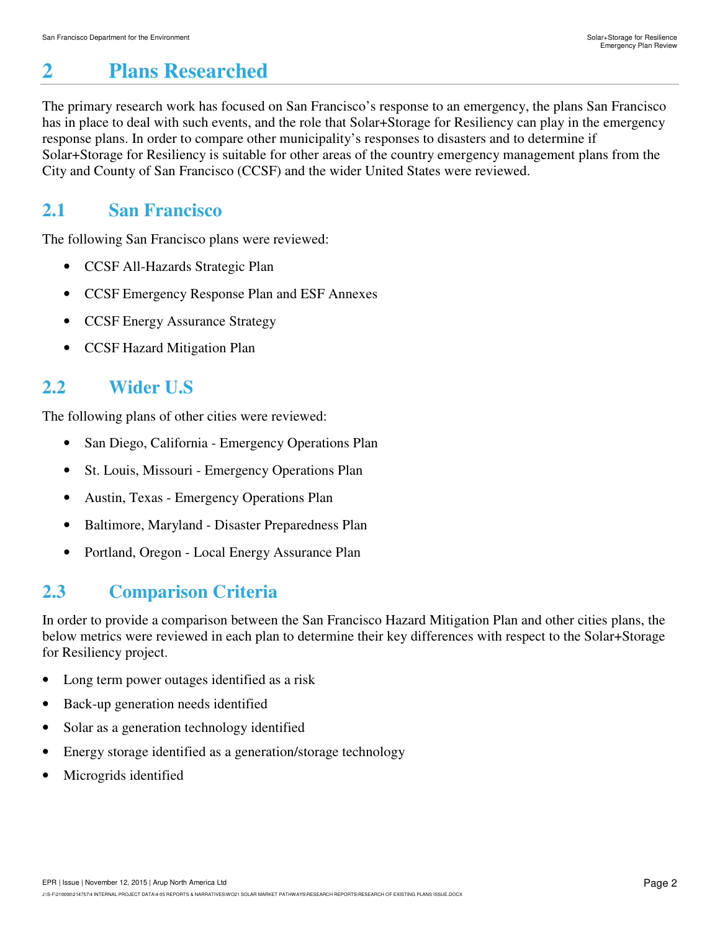# **2 Plans Researched**

The primary research work has focused on San Francisco's response to an emergency, the plans San Francisco has in place to deal with such events, and the role that Solar+Storage for Resiliency can play in the emergency response plans. In order to compare other municipality's responses to disasters and to determine if Solar+Storage for Resiliency is suitable for other areas of the country emergency management plans from the City and County of San Francisco (CCSF) and the wider United States were reviewed.

## **2.1 San Francisco**

The following San Francisco plans were reviewed:

- CCSF All-Hazards Strategic Plan
- CCSF Emergency Response Plan and ESF Annexes
- CCSF Energy Assurance Strategy
- CCSF Hazard Mitigation Plan

# **2.2 Wider U.S**

The following plans of other cities were reviewed:

- San Diego, California Emergency Operations Plan
- St. Louis, Missouri Emergency Operations Plan
- Austin, Texas Emergency Operations Plan
- Baltimore, Maryland Disaster Preparedness Plan
- Portland, Oregon Local Energy Assurance Plan

# **2.3 Comparison Criteria**

In order to provide a comparison between the San Francisco Hazard Mitigation Plan and other cities plans, the below metrics were reviewed in each plan to determine their key differences with respect to the Solar+Storage for Resiliency project.

- Long term power outages identified as a risk
- Back-up generation needs identified
- Solar as a generation technology identified
- Energy storage identified as a generation/storage technology
- Microgrids identified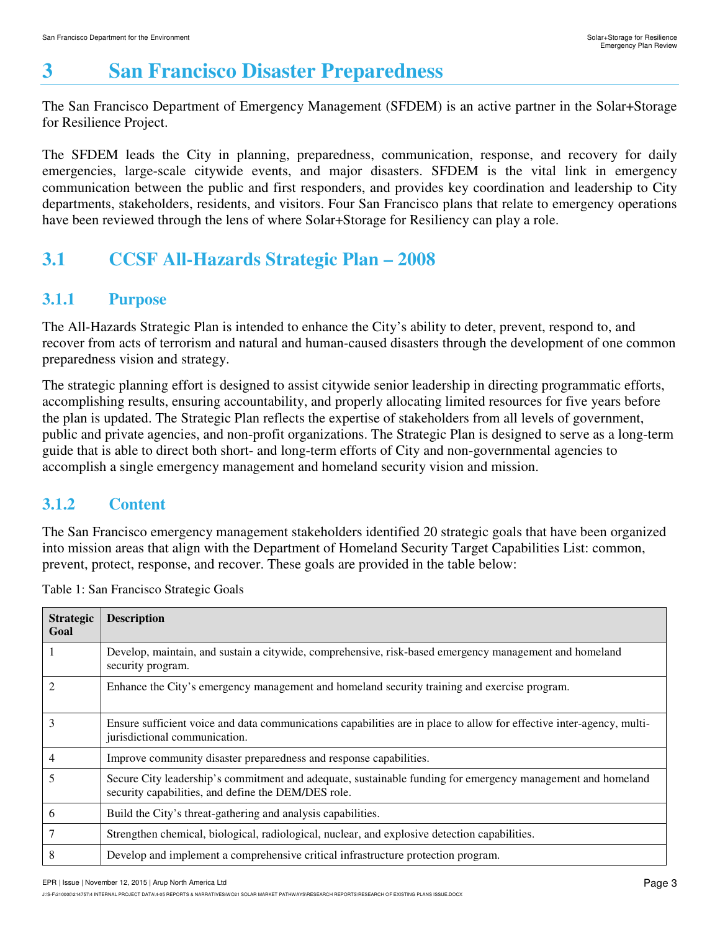# **3 San Francisco Disaster Preparedness**

The San Francisco Department of Emergency Management (SFDEM) is an active partner in the Solar+Storage for Resilience Project.

The SFDEM leads the City in planning, preparedness, communication, response, and recovery for daily emergencies, large-scale citywide events, and major disasters. SFDEM is the vital link in emergency communication between the public and first responders, and provides key coordination and leadership to City departments, stakeholders, residents, and visitors. Four San Francisco plans that relate to emergency operations have been reviewed through the lens of where Solar+Storage for Resiliency can play a role.

# **3.1 CCSF All-Hazards Strategic Plan – 2008**

### **3.1.1 Purpose**

The All-Hazards Strategic Plan is intended to enhance the City's ability to deter, prevent, respond to, and recover from acts of terrorism and natural and human-caused disasters through the development of one common preparedness vision and strategy.

The strategic planning effort is designed to assist citywide senior leadership in directing programmatic efforts, accomplishing results, ensuring accountability, and properly allocating limited resources for five years before the plan is updated. The Strategic Plan reflects the expertise of stakeholders from all levels of government, public and private agencies, and non-profit organizations. The Strategic Plan is designed to serve as a long-term guide that is able to direct both short- and long-term efforts of City and non-governmental agencies to accomplish a single emergency management and homeland security vision and mission.

### **3.1.2 Content**

The San Francisco emergency management stakeholders identified 20 strategic goals that have been organized into mission areas that align with the Department of Homeland Security Target Capabilities List: common, prevent, protect, response, and recover. These goals are provided in the table below:

| <b>Strategic</b><br>Goal | <b>Description</b>                                                                                                                                                 |
|--------------------------|--------------------------------------------------------------------------------------------------------------------------------------------------------------------|
|                          | Develop, maintain, and sustain a citywide, comprehensive, risk-based emergency management and homeland<br>security program.                                        |
|                          | Enhance the City's emergency management and homeland security training and exercise program.                                                                       |
| 3                        | Ensure sufficient voice and data communications capabilities are in place to allow for effective inter-agency, multi-<br>jurisdictional communication.             |
| 4                        | Improve community disaster preparedness and response capabilities.                                                                                                 |
|                          | Secure City leadership's commitment and adequate, sustainable funding for emergency management and homeland<br>security capabilities, and define the DEM/DES role. |
| 6                        | Build the City's threat-gathering and analysis capabilities.                                                                                                       |
|                          | Strengthen chemical, biological, radiological, nuclear, and explosive detection capabilities.                                                                      |
| 8                        | Develop and implement a comprehensive critical infrastructure protection program.                                                                                  |

Table 1: San Francisco Strategic Goals

EPR | Issue | November 12, 2015 | Arup North America Ltd

J:\S-F\210000\214757\4 INTERNAL PROJECT DATA\4-05 REPORTS & NARRATIVES\WO21 SOLAR MARKET PATHWAYS\RESEARCH REPORTS\RESEARCH OF EXISTING PLANS ISSUE.DOCX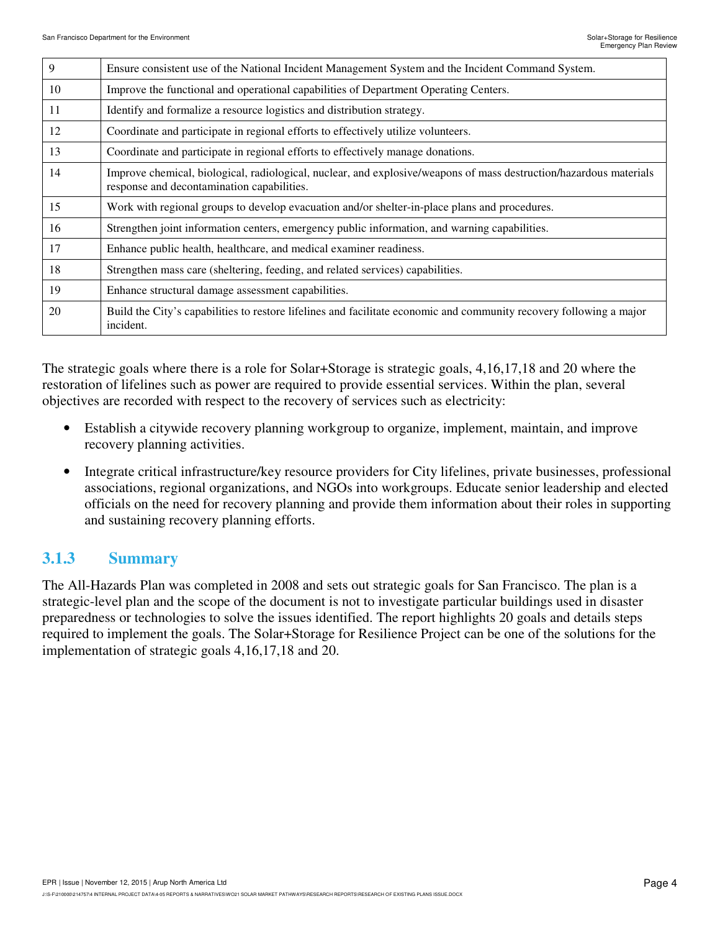| $\mathbf{Q}$ | Ensure consistent use of the National Incident Management System and the Incident Command System.                                                                |
|--------------|------------------------------------------------------------------------------------------------------------------------------------------------------------------|
| 10           | Improve the functional and operational capabilities of Department Operating Centers.                                                                             |
| 11           | Identify and formalize a resource logistics and distribution strategy.                                                                                           |
| 12           | Coordinate and participate in regional efforts to effectively utilize volunteers.                                                                                |
| 13           | Coordinate and participate in regional efforts to effectively manage donations.                                                                                  |
| 14           | Improve chemical, biological, radiological, nuclear, and explosive/weapons of mass destruction/hazardous materials<br>response and decontamination capabilities. |
| 15           | Work with regional groups to develop evacuation and/or shelter-in-place plans and procedures.                                                                    |
| 16           | Strengthen joint information centers, emergency public information, and warning capabilities.                                                                    |
| 17           | Enhance public health, healthcare, and medical examiner readiness.                                                                                               |
| 18           | Strengthen mass care (sheltering, feeding, and related services) capabilities.                                                                                   |
| 19           | Enhance structural damage assessment capabilities.                                                                                                               |
| 20           | Build the City's capabilities to restore lifelines and facilitate economic and community recovery following a major<br>incident.                                 |

The strategic goals where there is a role for Solar+Storage is strategic goals, 4,16,17,18 and 20 where the restoration of lifelines such as power are required to provide essential services. Within the plan, several objectives are recorded with respect to the recovery of services such as electricity:

- Establish a citywide recovery planning workgroup to organize, implement, maintain, and improve recovery planning activities.
- Integrate critical infrastructure/key resource providers for City lifelines, private businesses, professional associations, regional organizations, and NGOs into workgroups. Educate senior leadership and elected officials on the need for recovery planning and provide them information about their roles in supporting and sustaining recovery planning efforts.

#### **3.1.3 Summary**

The All-Hazards Plan was completed in 2008 and sets out strategic goals for San Francisco. The plan is a strategic-level plan and the scope of the document is not to investigate particular buildings used in disaster preparedness or technologies to solve the issues identified. The report highlights 20 goals and details steps required to implement the goals. The Solar+Storage for Resilience Project can be one of the solutions for the implementation of strategic goals 4,16,17,18 and 20.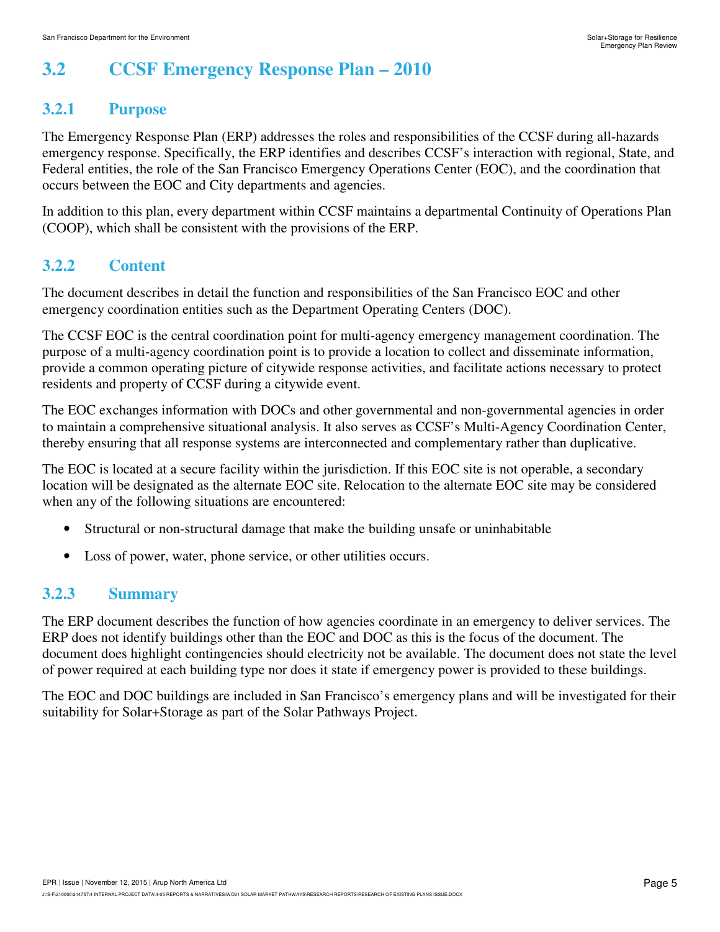# **3.2 CCSF Emergency Response Plan – 2010**

### **3.2.1 Purpose**

The Emergency Response Plan (ERP) addresses the roles and responsibilities of the CCSF during all-hazards emergency response. Specifically, the ERP identifies and describes CCSF's interaction with regional, State, and Federal entities, the role of the San Francisco Emergency Operations Center (EOC), and the coordination that occurs between the EOC and City departments and agencies.

In addition to this plan, every department within CCSF maintains a departmental Continuity of Operations Plan (COOP), which shall be consistent with the provisions of the ERP.

### **3.2.2 Content**

The document describes in detail the function and responsibilities of the San Francisco EOC and other emergency coordination entities such as the Department Operating Centers (DOC).

The CCSF EOC is the central coordination point for multi-agency emergency management coordination. The purpose of a multi-agency coordination point is to provide a location to collect and disseminate information, provide a common operating picture of citywide response activities, and facilitate actions necessary to protect residents and property of CCSF during a citywide event.

The EOC exchanges information with DOCs and other governmental and non-governmental agencies in order to maintain a comprehensive situational analysis. It also serves as CCSF's Multi-Agency Coordination Center, thereby ensuring that all response systems are interconnected and complementary rather than duplicative.

The EOC is located at a secure facility within the jurisdiction. If this EOC site is not operable, a secondary location will be designated as the alternate EOC site. Relocation to the alternate EOC site may be considered when any of the following situations are encountered:

- Structural or non-structural damage that make the building unsafe or uninhabitable
- Loss of power, water, phone service, or other utilities occurs.

#### **3.2.3 Summary**

The ERP document describes the function of how agencies coordinate in an emergency to deliver services. The ERP does not identify buildings other than the EOC and DOC as this is the focus of the document. The document does highlight contingencies should electricity not be available. The document does not state the level of power required at each building type nor does it state if emergency power is provided to these buildings.

The EOC and DOC buildings are included in San Francisco's emergency plans and will be investigated for their suitability for Solar+Storage as part of the Solar Pathways Project.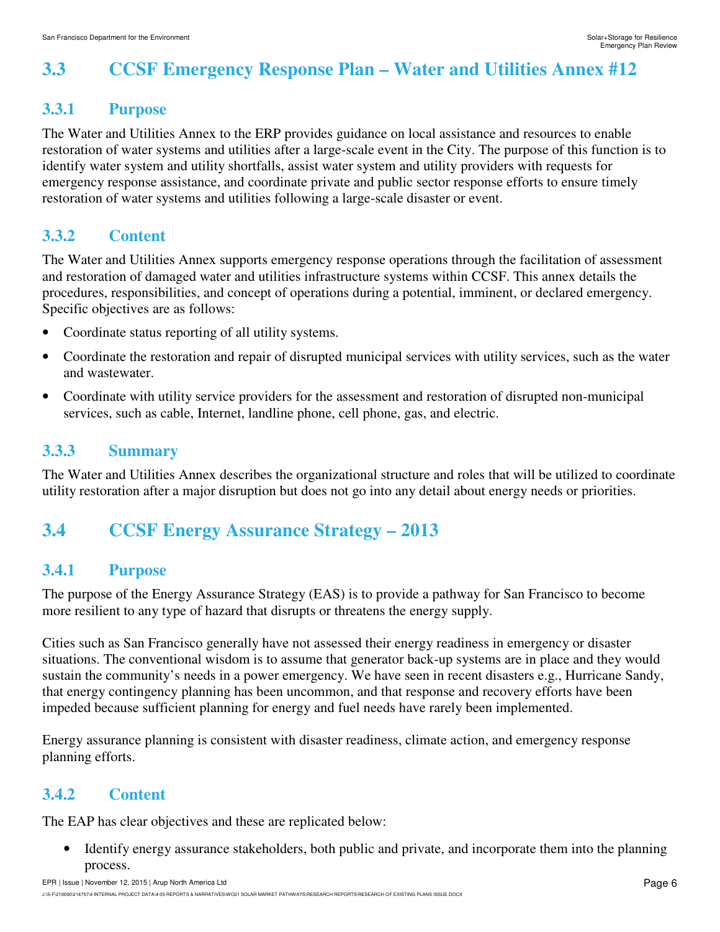# **3.3 CCSF Emergency Response Plan – Water and Utilities Annex #12**

#### **3.3.1 Purpose**

The Water and Utilities Annex to the ERP provides guidance on local assistance and resources to enable restoration of water systems and utilities after a large-scale event in the City. The purpose of this function is to identify water system and utility shortfalls, assist water system and utility providers with requests for emergency response assistance, and coordinate private and public sector response efforts to ensure timely restoration of water systems and utilities following a large-scale disaster or event.

### **3.3.2 Content**

The Water and Utilities Annex supports emergency response operations through the facilitation of assessment and restoration of damaged water and utilities infrastructure systems within CCSF. This annex details the procedures, responsibilities, and concept of operations during a potential, imminent, or declared emergency. Specific objectives are as follows:

- Coordinate status reporting of all utility systems.
- Coordinate the restoration and repair of disrupted municipal services with utility services, such as the water and wastewater.
- Coordinate with utility service providers for the assessment and restoration of disrupted non-municipal services, such as cable, Internet, landline phone, cell phone, gas, and electric.

### **3.3.3 Summary**

The Water and Utilities Annex describes the organizational structure and roles that will be utilized to coordinate utility restoration after a major disruption but does not go into any detail about energy needs or priorities.

# **3.4 CCSF Energy Assurance Strategy – 2013**

#### **3.4.1 Purpose**

The purpose of the Energy Assurance Strategy (EAS) is to provide a pathway for San Francisco to become more resilient to any type of hazard that disrupts or threatens the energy supply.

Cities such as San Francisco generally have not assessed their energy readiness in emergency or disaster situations. The conventional wisdom is to assume that generator back-up systems are in place and they would sustain the community's needs in a power emergency. We have seen in recent disasters e.g., Hurricane Sandy, that energy contingency planning has been uncommon, and that response and recovery efforts have been impeded because sufficient planning for energy and fuel needs have rarely been implemented.

Energy assurance planning is consistent with disaster readiness, climate action, and emergency response planning efforts.

### **3.4.2 Content**

The EAP has clear objectives and these are replicated below:

• Identify energy assurance stakeholders, both public and private, and incorporate them into the planning process.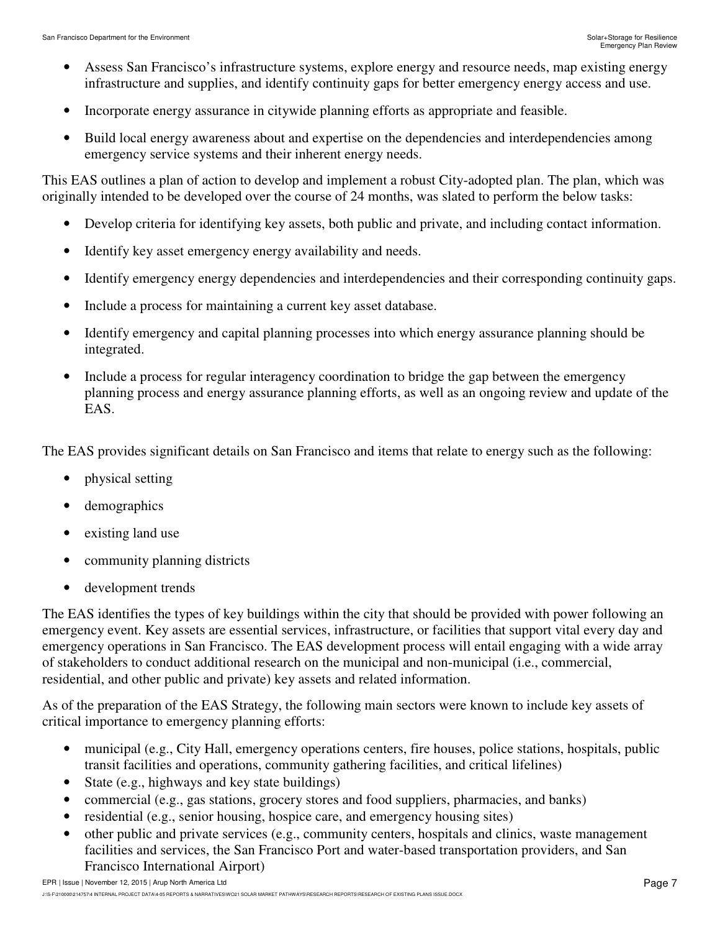- Assess San Francisco's infrastructure systems, explore energy and resource needs, map existing energy infrastructure and supplies, and identify continuity gaps for better emergency energy access and use.
- Incorporate energy assurance in citywide planning efforts as appropriate and feasible.
- Build local energy awareness about and expertise on the dependencies and interdependencies among emergency service systems and their inherent energy needs.

This EAS outlines a plan of action to develop and implement a robust City-adopted plan. The plan, which was originally intended to be developed over the course of 24 months, was slated to perform the below tasks:

- Develop criteria for identifying key assets, both public and private, and including contact information.
- Identify key asset emergency energy availability and needs.
- Identify emergency energy dependencies and interdependencies and their corresponding continuity gaps.
- Include a process for maintaining a current key asset database.
- Identify emergency and capital planning processes into which energy assurance planning should be integrated.
- Include a process for regular interagency coordination to bridge the gap between the emergency planning process and energy assurance planning efforts, as well as an ongoing review and update of the EAS.

The EAS provides significant details on San Francisco and items that relate to energy such as the following:

- physical setting
- demographics
- existing land use
- community planning districts
- development trends

The EAS identifies the types of key buildings within the city that should be provided with power following an emergency event. Key assets are essential services, infrastructure, or facilities that support vital every day and emergency operations in San Francisco. The EAS development process will entail engaging with a wide array of stakeholders to conduct additional research on the municipal and non-municipal (i.e., commercial, residential, and other public and private) key assets and related information.

As of the preparation of the EAS Strategy, the following main sectors were known to include key assets of critical importance to emergency planning efforts:

- municipal (e.g., City Hall, emergency operations centers, fire houses, police stations, hospitals, public transit facilities and operations, community gathering facilities, and critical lifelines)
- State (e.g., highways and key state buildings)
- commercial (e.g., gas stations, grocery stores and food suppliers, pharmacies, and banks)
- residential (e.g., senior housing, hospice care, and emergency housing sites)
- other public and private services (e.g., community centers, hospitals and clinics, waste management facilities and services, the San Francisco Port and water-based transportation providers, and San Francisco International Airport)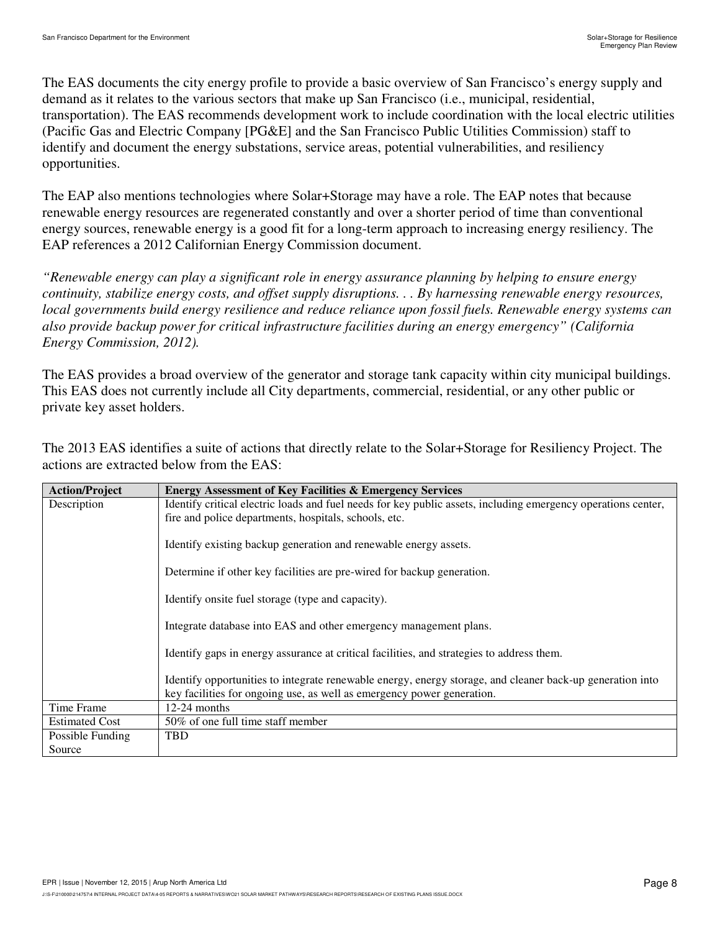The EAS documents the city energy profile to provide a basic overview of San Francisco's energy supply and demand as it relates to the various sectors that make up San Francisco (i.e., municipal, residential, transportation). The EAS recommends development work to include coordination with the local electric utilities (Pacific Gas and Electric Company [PG&E] and the San Francisco Public Utilities Commission) staff to identify and document the energy substations, service areas, potential vulnerabilities, and resiliency opportunities.

The EAP also mentions technologies where Solar+Storage may have a role. The EAP notes that because renewable energy resources are regenerated constantly and over a shorter period of time than conventional energy sources, renewable energy is a good fit for a long-term approach to increasing energy resiliency. The EAP references a 2012 Californian Energy Commission document.

*"Renewable energy can play a significant role in energy assurance planning by helping to ensure energy continuity, stabilize energy costs, and offset supply disruptions. . . By harnessing renewable energy resources, local governments build energy resilience and reduce reliance upon fossil fuels. Renewable energy systems can also provide backup power for critical infrastructure facilities during an energy emergency" (California Energy Commission, 2012).* 

The EAS provides a broad overview of the generator and storage tank capacity within city municipal buildings. This EAS does not currently include all City departments, commercial, residential, or any other public or private key asset holders.

| <b>Action/Project</b> | <b>Energy Assessment of Key Facilities &amp; Emergency Services</b>                                           |
|-----------------------|---------------------------------------------------------------------------------------------------------------|
| Description           | Identify critical electric loads and fuel needs for key public assets, including emergency operations center, |
|                       | fire and police departments, hospitals, schools, etc.                                                         |
|                       |                                                                                                               |
|                       | Identify existing backup generation and renewable energy assets.                                              |
|                       |                                                                                                               |
|                       | Determine if other key facilities are pre-wired for backup generation.                                        |
|                       |                                                                                                               |
|                       | Identify onsite fuel storage (type and capacity).                                                             |
|                       | Integrate database into EAS and other emergency management plans.                                             |
|                       |                                                                                                               |
|                       | Identify gaps in energy assurance at critical facilities, and strategies to address them.                     |
|                       |                                                                                                               |
|                       | Identify opportunities to integrate renewable energy, energy storage, and cleaner back-up generation into     |
|                       | key facilities for ongoing use, as well as emergency power generation.                                        |
| Time Frame            | $12-24$ months                                                                                                |
| <b>Estimated Cost</b> | 50% of one full time staff member                                                                             |
| Possible Funding      | <b>TBD</b>                                                                                                    |
| Source                |                                                                                                               |

The 2013 EAS identifies a suite of actions that directly relate to the Solar+Storage for Resiliency Project. The actions are extracted below from the EAS: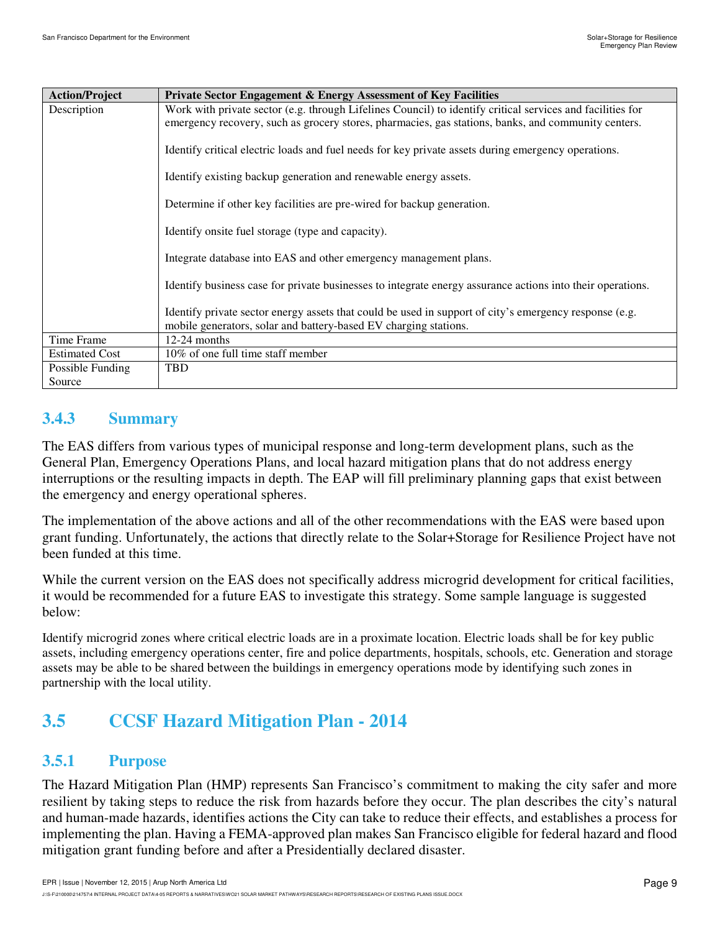| <b>Action/Project</b> | <b>Private Sector Engagement &amp; Energy Assessment of Key Facilities</b>                                                                                                                                        |
|-----------------------|-------------------------------------------------------------------------------------------------------------------------------------------------------------------------------------------------------------------|
| Description           | Work with private sector (e.g. through Lifelines Council) to identify critical services and facilities for<br>emergency recovery, such as grocery stores, pharmacies, gas stations, banks, and community centers. |
|                       | Identify critical electric loads and fuel needs for key private assets during emergency operations.                                                                                                               |
|                       | Identify existing backup generation and renewable energy assets.                                                                                                                                                  |
|                       | Determine if other key facilities are pre-wired for backup generation.                                                                                                                                            |
|                       | Identify onsite fuel storage (type and capacity).                                                                                                                                                                 |
|                       | Integrate database into EAS and other emergency management plans.                                                                                                                                                 |
|                       | Identify business case for private businesses to integrate energy assurance actions into their operations.                                                                                                        |
|                       | Identify private sector energy assets that could be used in support of city's emergency response (e.g.<br>mobile generators, solar and battery-based EV charging stations.                                        |
| Time Frame            | 12-24 months                                                                                                                                                                                                      |
| <b>Estimated Cost</b> | 10\% of one full time staff member                                                                                                                                                                                |
| Possible Funding      | <b>TBD</b>                                                                                                                                                                                                        |
| Source                |                                                                                                                                                                                                                   |

#### **3.4.3 Summary**

The EAS differs from various types of municipal response and long-term development plans, such as the General Plan, Emergency Operations Plans, and local hazard mitigation plans that do not address energy interruptions or the resulting impacts in depth. The EAP will fill preliminary planning gaps that exist between the emergency and energy operational spheres.

The implementation of the above actions and all of the other recommendations with the EAS were based upon grant funding. Unfortunately, the actions that directly relate to the Solar+Storage for Resilience Project have not been funded at this time.

While the current version on the EAS does not specifically address microgrid development for critical facilities, it would be recommended for a future EAS to investigate this strategy. Some sample language is suggested below:

Identify microgrid zones where critical electric loads are in a proximate location. Electric loads shall be for key public assets, including emergency operations center, fire and police departments, hospitals, schools, etc. Generation and storage assets may be able to be shared between the buildings in emergency operations mode by identifying such zones in partnership with the local utility.

## **3.5 CCSF Hazard Mitigation Plan - 2014**

#### **3.5.1 Purpose**

The Hazard Mitigation Plan (HMP) represents San Francisco's commitment to making the city safer and more resilient by taking steps to reduce the risk from hazards before they occur. The plan describes the city's natural and human-made hazards, identifies actions the City can take to reduce their effects, and establishes a process for implementing the plan. Having a FEMA-approved plan makes San Francisco eligible for federal hazard and flood mitigation grant funding before and after a Presidentially declared disaster.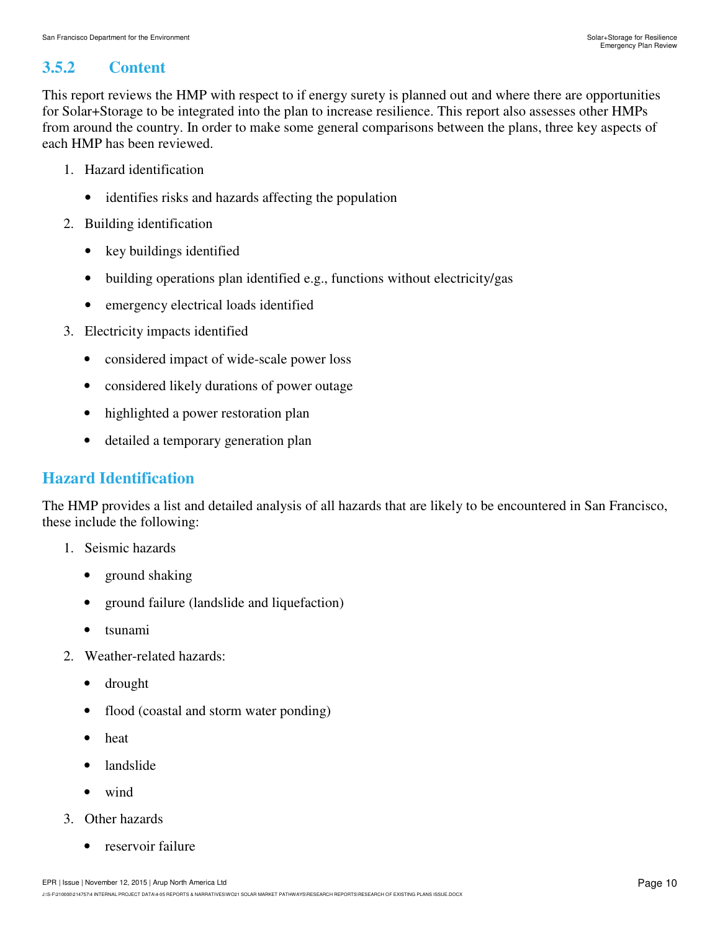### **3.5.2 Content**

This report reviews the HMP with respect to if energy surety is planned out and where there are opportunities for Solar+Storage to be integrated into the plan to increase resilience. This report also assesses other HMPs from around the country. In order to make some general comparisons between the plans, three key aspects of each HMP has been reviewed.

- 1. Hazard identification
	- identifies risks and hazards affecting the population
- 2. Building identification
	- key buildings identified
	- building operations plan identified e.g., functions without electricity/gas
	- emergency electrical loads identified
- 3. Electricity impacts identified
	- considered impact of wide-scale power loss
	- considered likely durations of power outage
	- highlighted a power restoration plan
	- detailed a temporary generation plan

#### **Hazard Identification**

The HMP provides a list and detailed analysis of all hazards that are likely to be encountered in San Francisco, these include the following:

- 1. Seismic hazards
	- ground shaking
	- ground failure (landslide and liquefaction)
	- tsunami
- 2. Weather-related hazards:
	- drought
	- flood (coastal and storm water ponding)
	- heat
	- landslide
	- wind
- 3. Other hazards
	- reservoir failure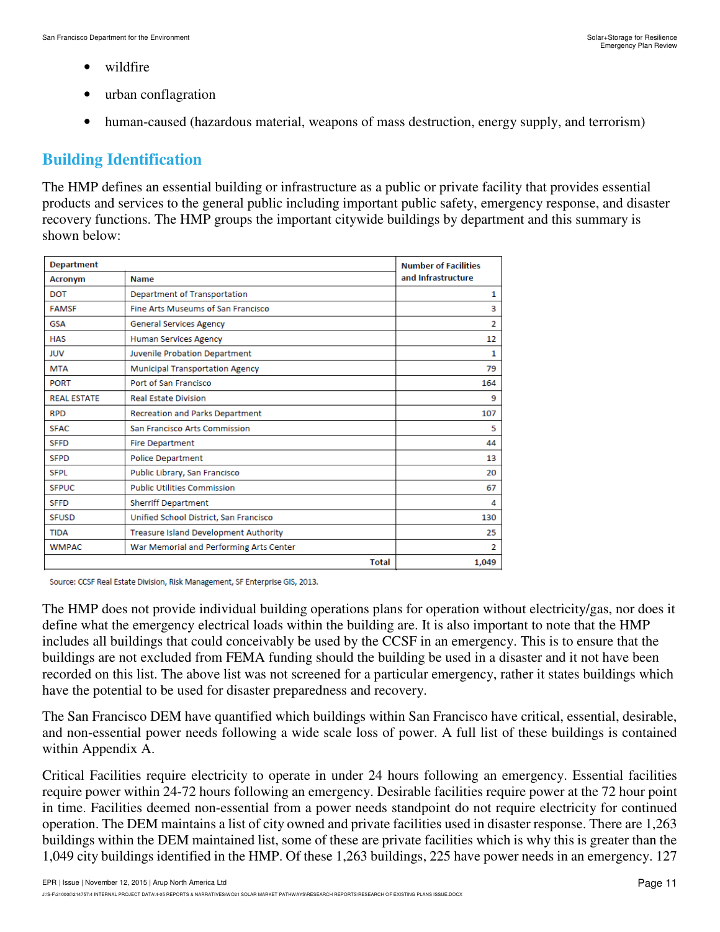- wildfire
- urban conflagration
- human-caused (hazardous material, weapons of mass destruction, energy supply, and terrorism)

### **Building Identification**

The HMP defines an essential building or infrastructure as a public or private facility that provides essential products and services to the general public including important public safety, emergency response, and disaster recovery functions. The HMP groups the important citywide buildings by department and this summary is shown below:

| <b>Department</b>  | <b>Number of Facilities</b>                  |              |                    |
|--------------------|----------------------------------------------|--------------|--------------------|
| <b>Acronym</b>     | <b>Name</b>                                  |              | and Infrastructure |
| <b>DOT</b>         | Department of Transportation                 |              | 1                  |
| <b>FAMSF</b>       | Fine Arts Museums of San Francisco           |              | 3                  |
| <b>GSA</b>         | <b>General Services Agency</b>               |              | $\overline{2}$     |
| <b>HAS</b>         | <b>Human Services Agency</b>                 |              | 12                 |
| <b>JUV</b>         | Juvenile Probation Department                |              | 1                  |
| <b>MTA</b>         | Municipal Transportation Agency              |              | 79                 |
| <b>PORT</b>        | Port of San Francisco                        |              | 164                |
| <b>REAL ESTATE</b> | <b>Real Estate Division</b>                  |              | 9                  |
| <b>RPD</b>         | Recreation and Parks Department              |              | 107                |
| <b>SFAC</b>        | San Francisco Arts Commission                |              | 5                  |
| <b>SFFD</b>        | <b>Fire Department</b>                       |              | 44                 |
| <b>SFPD</b>        | <b>Police Department</b>                     |              | 13                 |
| <b>SFPL</b>        | Public Library, San Francisco                |              | 20                 |
| <b>SFPUC</b>       | <b>Public Utilities Commission</b>           |              | 67                 |
| <b>SFFD</b>        | <b>Sherriff Department</b>                   |              | 4                  |
| <b>SFUSD</b>       | Unified School District, San Francisco       |              | 130                |
| <b>TIDA</b>        | <b>Treasure Island Development Authority</b> |              | 25                 |
| <b>WMPAC</b>       | War Memorial and Performing Arts Center      |              | $\overline{2}$     |
|                    |                                              | <b>Total</b> | 1,049              |

Source: CCSF Real Estate Division, Risk Management, SF Enterprise GIS, 2013.

The HMP does not provide individual building operations plans for operation without electricity/gas, nor does it define what the emergency electrical loads within the building are. It is also important to note that the HMP includes all buildings that could conceivably be used by the CCSF in an emergency. This is to ensure that the buildings are not excluded from FEMA funding should the building be used in a disaster and it not have been recorded on this list. The above list was not screened for a particular emergency, rather it states buildings which have the potential to be used for disaster preparedness and recovery.

The San Francisco DEM have quantified which buildings within San Francisco have critical, essential, desirable, and non-essential power needs following a wide scale loss of power. A full list of these buildings is contained within Appendix A.

Critical Facilities require electricity to operate in under 24 hours following an emergency. Essential facilities require power within 24-72 hours following an emergency. Desirable facilities require power at the 72 hour point in time. Facilities deemed non-essential from a power needs standpoint do not require electricity for continued operation. The DEM maintains a list of city owned and private facilities used in disaster response. There are 1,263 buildings within the DEM maintained list, some of these are private facilities which is why this is greater than the 1,049 city buildings identified in the HMP. Of these 1,263 buildings, 225 have power needs in an emergency. 127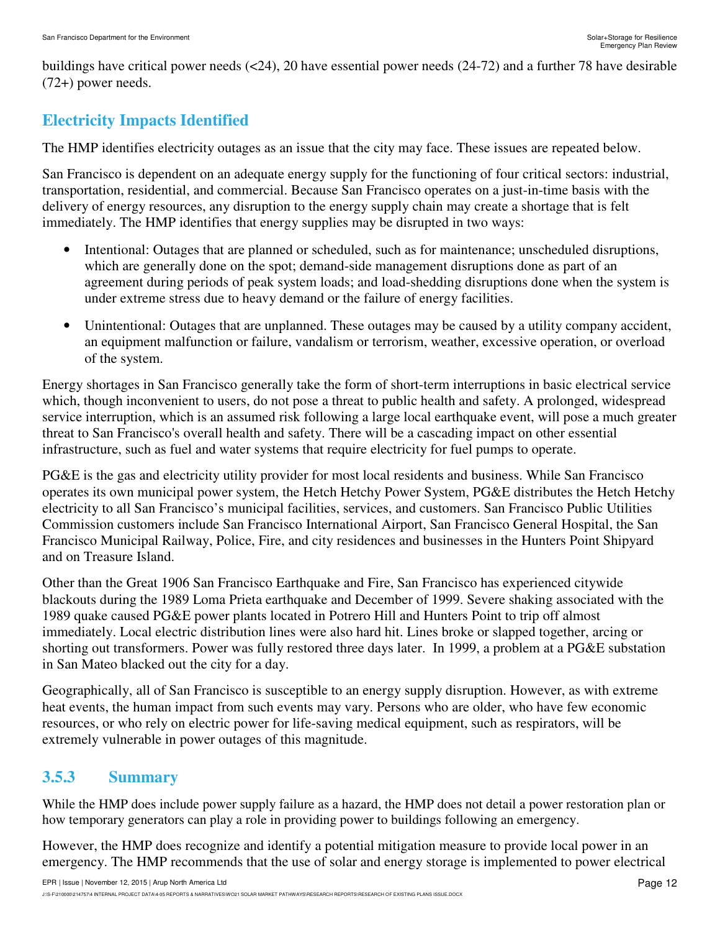buildings have critical power needs (<24), 20 have essential power needs (24-72) and a further 78 have desirable (72+) power needs.

### **Electricity Impacts Identified**

The HMP identifies electricity outages as an issue that the city may face. These issues are repeated below.

San Francisco is dependent on an adequate energy supply for the functioning of four critical sectors: industrial, transportation, residential, and commercial. Because San Francisco operates on a just-in-time basis with the delivery of energy resources, any disruption to the energy supply chain may create a shortage that is felt immediately. The HMP identifies that energy supplies may be disrupted in two ways:

- Intentional: Outages that are planned or scheduled, such as for maintenance; unscheduled disruptions, which are generally done on the spot; demand-side management disruptions done as part of an agreement during periods of peak system loads; and load-shedding disruptions done when the system is under extreme stress due to heavy demand or the failure of energy facilities.
- Unintentional: Outages that are unplanned. These outages may be caused by a utility company accident, an equipment malfunction or failure, vandalism or terrorism, weather, excessive operation, or overload of the system.

Energy shortages in San Francisco generally take the form of short-term interruptions in basic electrical service which, though inconvenient to users, do not pose a threat to public health and safety. A prolonged, widespread service interruption, which is an assumed risk following a large local earthquake event, will pose a much greater threat to San Francisco's overall health and safety. There will be a cascading impact on other essential infrastructure, such as fuel and water systems that require electricity for fuel pumps to operate.

PG&E is the gas and electricity utility provider for most local residents and business. While San Francisco operates its own municipal power system, the Hetch Hetchy Power System, PG&E distributes the Hetch Hetchy electricity to all San Francisco's municipal facilities, services, and customers. San Francisco Public Utilities Commission customers include San Francisco International Airport, San Francisco General Hospital, the San Francisco Municipal Railway, Police, Fire, and city residences and businesses in the Hunters Point Shipyard and on Treasure Island.

Other than the Great 1906 San Francisco Earthquake and Fire, San Francisco has experienced citywide blackouts during the 1989 Loma Prieta earthquake and December of 1999. Severe shaking associated with the 1989 quake caused PG&E power plants located in Potrero Hill and Hunters Point to trip off almost immediately. Local electric distribution lines were also hard hit. Lines broke or slapped together, arcing or shorting out transformers. Power was fully restored three days later. In 1999, a problem at a PG&E substation in San Mateo blacked out the city for a day.

Geographically, all of San Francisco is susceptible to an energy supply disruption. However, as with extreme heat events, the human impact from such events may vary. Persons who are older, who have few economic resources, or who rely on electric power for life-saving medical equipment, such as respirators, will be extremely vulnerable in power outages of this magnitude.

### **3.5.3 Summary**

While the HMP does include power supply failure as a hazard, the HMP does not detail a power restoration plan or how temporary generators can play a role in providing power to buildings following an emergency.

However, the HMP does recognize and identify a potential mitigation measure to provide local power in an emergency. The HMP recommends that the use of solar and energy storage is implemented to power electrical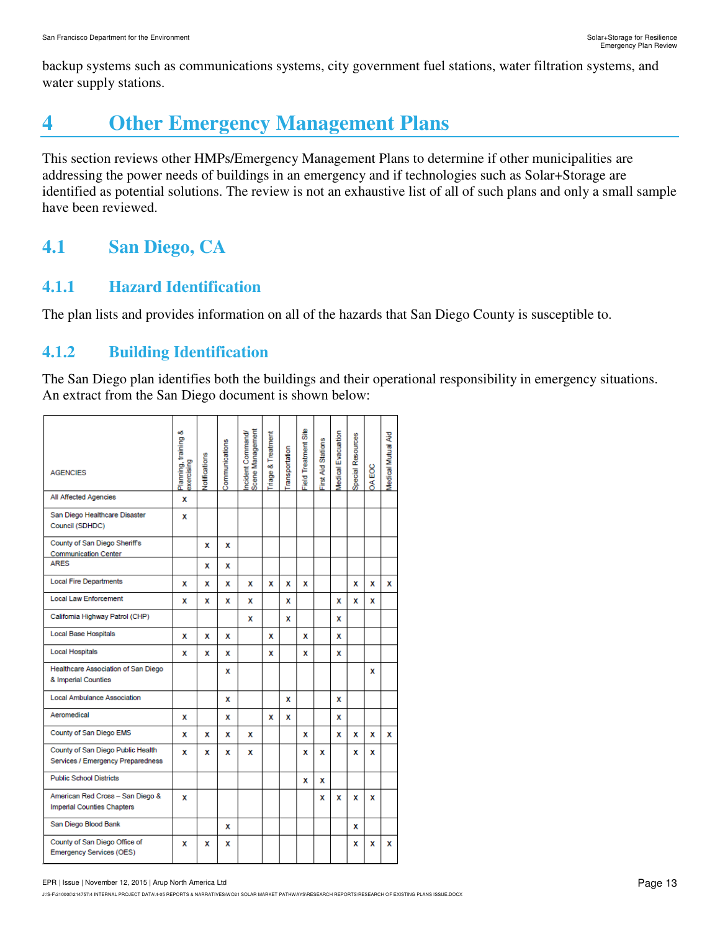backup systems such as communications systems, city government fuel stations, water filtration systems, and water supply stations.

# **4 Other Emergency Management Plans**

This section reviews other HMPs/Emergency Management Plans to determine if other municipalities are addressing the power needs of buildings in an emergency and if technologies such as Solar+Storage are identified as potential solutions. The review is not an exhaustive list of all of such plans and only a small sample have been reviewed.

# **4.1 San Diego, CA**

### **4.1.1 Hazard Identification**

The plan lists and provides information on all of the hazards that San Diego County is susceptible to.

### **4.1.2 Building Identification**

The San Diego plan identifies both the buildings and their operational responsibility in emergency situations. An extract from the San Diego document is shown below:

| <b>AGENCIES</b>                                                        | ٥ö<br>Planning, training<br>exercising | Votifications | Communications | Scene Management<br>ncident Command/ | <b>Triage &amp; Treatment</b> | ransportation | Field Treatment Site | First Aid Stations | Medical Evacuation | Special Resources | <b>DA EOC</b> | Medical Mutual Aid |
|------------------------------------------------------------------------|----------------------------------------|---------------|----------------|--------------------------------------|-------------------------------|---------------|----------------------|--------------------|--------------------|-------------------|---------------|--------------------|
| All Affected Agencies                                                  | x                                      |               |                |                                      |                               |               |                      |                    |                    |                   |               |                    |
| San Diego Healthcare Disaster<br>Council (SDHDC)                       | x                                      |               |                |                                      |                               |               |                      |                    |                    |                   |               |                    |
| County of San Diego Sheriff's<br><b>Communication Center</b>           |                                        | x             | x              |                                      |                               |               |                      |                    |                    |                   |               |                    |
| <b>ARES</b>                                                            |                                        | x             | x              |                                      |                               |               |                      |                    |                    |                   |               |                    |
| <b>Local Fire Departments</b>                                          | x                                      | x             | х              | x                                    | x                             | x             | x                    |                    |                    | x                 | х             | x                  |
| <b>Local Law Enforcement</b>                                           | x                                      | x             | x              | x                                    |                               | x             |                      |                    | x                  | x                 | x             |                    |
| California Highway Patrol (CHP)                                        |                                        |               |                | x                                    |                               | x             |                      |                    | x                  |                   |               |                    |
| Local Base Hospitals                                                   | x                                      | x             | x              |                                      | x                             |               | x                    |                    | x                  |                   |               |                    |
| <b>Local Hospitals</b>                                                 | x                                      | x             | x              |                                      | x                             |               | x                    |                    | x                  |                   |               |                    |
| Healthcare Association of San Diego<br>& Imperial Counties             |                                        |               | x              |                                      |                               |               |                      |                    |                    |                   | x             |                    |
| <b>Local Ambulance Association</b>                                     |                                        |               | x              |                                      |                               | x             |                      |                    | x                  |                   |               |                    |
| Aeromedical                                                            | x                                      |               | x              |                                      | x                             | x             |                      |                    | x                  |                   |               |                    |
| County of San Diego EMS                                                | x                                      | x             | x              | x                                    |                               |               | x                    |                    | x                  | x                 | x             | x                  |
| County of San Diego Public Health<br>Services / Emergency Preparedness | x                                      | x             | x              | x                                    |                               |               | x                    | x                  |                    | x                 | x             |                    |
| <b>Public School Districts</b>                                         |                                        |               |                |                                      |                               |               | x                    | х                  |                    |                   |               |                    |
| American Red Cross - San Diego &<br>Imperial Counties Chapters         | x                                      |               |                |                                      |                               |               |                      | x                  | x                  | x                 | x             |                    |
| San Diego Blood Bank                                                   |                                        |               | x              |                                      |                               |               |                      |                    |                    | x                 |               |                    |
| County of San Diego Office of<br>Emergency Services (OES)              | x                                      | x             | x              |                                      |                               |               |                      |                    |                    | x                 | x             | x                  |

#### EPR | Issue | November 12, 2015 | Arup North America Ltd

J:\S-F\210000\214757\4 INTERNAL PROJECT DATA\4-05 REPORTS & NARRATIVES\WO21 SOLAR MARKET PATHWAYS\RESEARCH REPORTS\RESEARCH OF EXISTING PLANS ISSUE.DOCX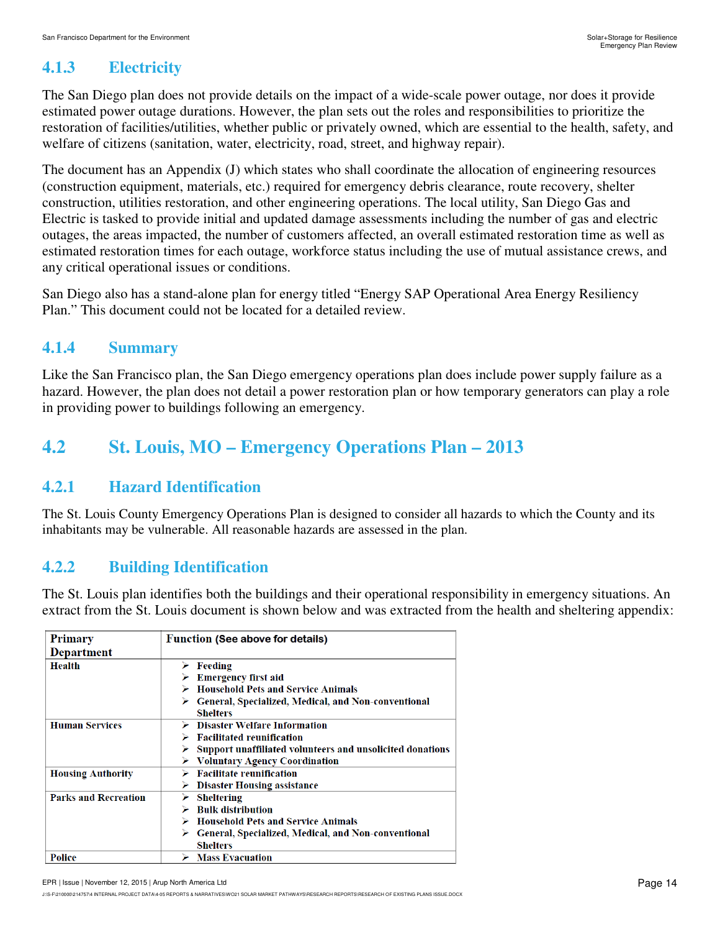### **4.1.3 Electricity**

The San Diego plan does not provide details on the impact of a wide-scale power outage, nor does it provide estimated power outage durations. However, the plan sets out the roles and responsibilities to prioritize the restoration of facilities/utilities, whether public or privately owned, which are essential to the health, safety, and welfare of citizens (sanitation, water, electricity, road, street, and highway repair).

The document has an Appendix (J) which states who shall coordinate the allocation of engineering resources (construction equipment, materials, etc.) required for emergency debris clearance, route recovery, shelter construction, utilities restoration, and other engineering operations. The local utility, San Diego Gas and Electric is tasked to provide initial and updated damage assessments including the number of gas and electric outages, the areas impacted, the number of customers affected, an overall estimated restoration time as well as estimated restoration times for each outage, workforce status including the use of mutual assistance crews, and any critical operational issues or conditions.

San Diego also has a stand-alone plan for energy titled "Energy SAP Operational Area Energy Resiliency Plan." This document could not be located for a detailed review.

### **4.1.4 Summary**

Like the San Francisco plan, the San Diego emergency operations plan does include power supply failure as a hazard. However, the plan does not detail a power restoration plan or how temporary generators can play a role in providing power to buildings following an emergency.

## **4.2 St. Louis, MO – Emergency Operations Plan – 2013**

#### **4.2.1 Hazard Identification**

The St. Louis County Emergency Operations Plan is designed to consider all hazards to which the County and its inhabitants may be vulnerable. All reasonable hazards are assessed in the plan.

### **4.2.2 Building Identification**

The St. Louis plan identifies both the buildings and their operational responsibility in emergency situations. An extract from the St. Louis document is shown below and was extracted from the health and sheltering appendix:

| <b>Primary</b><br>Department | <b>Function (See above for details)</b>                                                                                                                                                                           |
|------------------------------|-------------------------------------------------------------------------------------------------------------------------------------------------------------------------------------------------------------------|
| Health                       | $\triangleright$ Feeding<br><b>Emergency first aid</b><br>$\triangleright$ Household Pets and Service Animals<br>$\triangleright$ General, Specialized, Medical, and Non-conventional<br><b>Shelters</b>          |
| <b>Human Services</b>        | <b>Disaster Welfare Information</b><br>$\triangleright$ Facilitated reunification<br>$\triangleright$ Support unaffiliated volunteers and unsolicited donations<br>$\triangleright$ Voluntary Agency Coordination |
| <b>Housing Authority</b>     | $\triangleright$ Facilitate reunification<br><b>Disaster Housing assistance</b><br>⋗                                                                                                                              |
| <b>Parks and Recreation</b>  | Sheltering<br>➤<br><b>Bulk distribution</b><br>$\triangleright$ Household Pets and Service Animals<br>$\triangleright$ General, Specialized, Medical, and Non-conventional<br><b>Shelters</b>                     |
| <b>Police</b>                | $\triangleright$ Mass Evacuation                                                                                                                                                                                  |

J:\S-F\210000\214757\4 INTERNAL PROJECT DATA\4-05 REPORTS & NARRATIVES\WO21 SOLAR MARKET PATHWAYS\RESEARCH REPORTS\RESEARCH OF EXISTING PLANS ISSUE.DOCX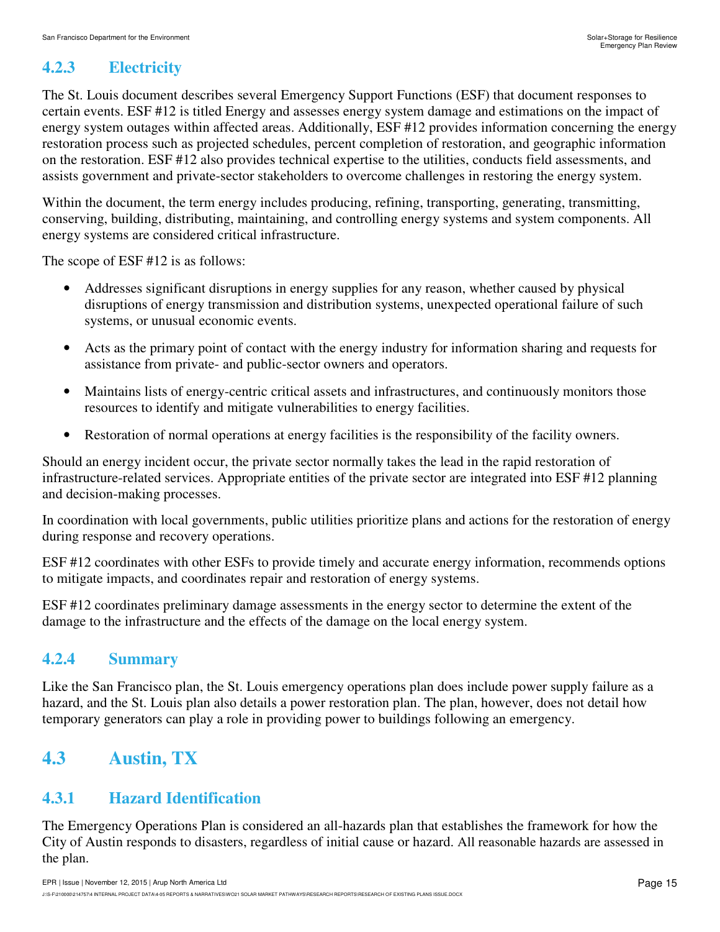### **4.2.3 Electricity**

The St. Louis document describes several Emergency Support Functions (ESF) that document responses to certain events. ESF #12 is titled Energy and assesses energy system damage and estimations on the impact of energy system outages within affected areas. Additionally, ESF #12 provides information concerning the energy restoration process such as projected schedules, percent completion of restoration, and geographic information on the restoration. ESF #12 also provides technical expertise to the utilities, conducts field assessments, and assists government and private-sector stakeholders to overcome challenges in restoring the energy system.

Within the document, the term energy includes producing, refining, transporting, generating, transmitting, conserving, building, distributing, maintaining, and controlling energy systems and system components. All energy systems are considered critical infrastructure.

The scope of ESF #12 is as follows:

- Addresses significant disruptions in energy supplies for any reason, whether caused by physical disruptions of energy transmission and distribution systems, unexpected operational failure of such systems, or unusual economic events.
- Acts as the primary point of contact with the energy industry for information sharing and requests for assistance from private- and public-sector owners and operators.
- Maintains lists of energy-centric critical assets and infrastructures, and continuously monitors those resources to identify and mitigate vulnerabilities to energy facilities.
- Restoration of normal operations at energy facilities is the responsibility of the facility owners.

Should an energy incident occur, the private sector normally takes the lead in the rapid restoration of infrastructure-related services. Appropriate entities of the private sector are integrated into ESF #12 planning and decision-making processes.

In coordination with local governments, public utilities prioritize plans and actions for the restoration of energy during response and recovery operations.

ESF #12 coordinates with other ESFs to provide timely and accurate energy information, recommends options to mitigate impacts, and coordinates repair and restoration of energy systems.

ESF #12 coordinates preliminary damage assessments in the energy sector to determine the extent of the damage to the infrastructure and the effects of the damage on the local energy system.

### **4.2.4 Summary**

Like the San Francisco plan, the St. Louis emergency operations plan does include power supply failure as a hazard, and the St. Louis plan also details a power restoration plan. The plan, however, does not detail how temporary generators can play a role in providing power to buildings following an emergency.

# **4.3 Austin, TX**

### **4.3.1 Hazard Identification**

The Emergency Operations Plan is considered an all-hazards plan that establishes the framework for how the City of Austin responds to disasters, regardless of initial cause or hazard. All reasonable hazards are assessed in the plan.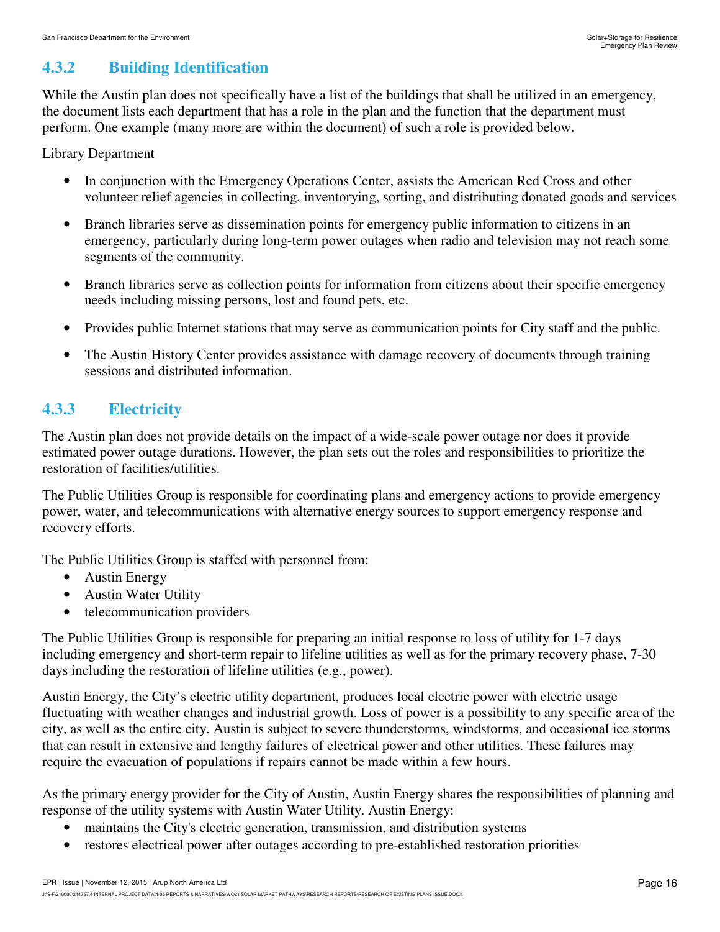### **4.3.2 Building Identification**

While the Austin plan does not specifically have a list of the buildings that shall be utilized in an emergency, the document lists each department that has a role in the plan and the function that the department must perform. One example (many more are within the document) of such a role is provided below.

Library Department

- In conjunction with the Emergency Operations Center, assists the American Red Cross and other volunteer relief agencies in collecting, inventorying, sorting, and distributing donated goods and services
- Branch libraries serve as dissemination points for emergency public information to citizens in an emergency, particularly during long-term power outages when radio and television may not reach some segments of the community.
- Branch libraries serve as collection points for information from citizens about their specific emergency needs including missing persons, lost and found pets, etc.
- Provides public Internet stations that may serve as communication points for City staff and the public.
- The Austin History Center provides assistance with damage recovery of documents through training sessions and distributed information.

### **4.3.3 Electricity**

The Austin plan does not provide details on the impact of a wide-scale power outage nor does it provide estimated power outage durations. However, the plan sets out the roles and responsibilities to prioritize the restoration of facilities/utilities.

The Public Utilities Group is responsible for coordinating plans and emergency actions to provide emergency power, water, and telecommunications with alternative energy sources to support emergency response and recovery efforts.

The Public Utilities Group is staffed with personnel from:

- Austin Energy
- Austin Water Utility
- telecommunication providers

The Public Utilities Group is responsible for preparing an initial response to loss of utility for 1-7 days including emergency and short-term repair to lifeline utilities as well as for the primary recovery phase, 7-30 days including the restoration of lifeline utilities (e.g., power).

Austin Energy, the City's electric utility department, produces local electric power with electric usage fluctuating with weather changes and industrial growth. Loss of power is a possibility to any specific area of the city, as well as the entire city. Austin is subject to severe thunderstorms, windstorms, and occasional ice storms that can result in extensive and lengthy failures of electrical power and other utilities. These failures may require the evacuation of populations if repairs cannot be made within a few hours.

As the primary energy provider for the City of Austin, Austin Energy shares the responsibilities of planning and response of the utility systems with Austin Water Utility. Austin Energy:

- maintains the City's electric generation, transmission, and distribution systems
- restores electrical power after outages according to pre-established restoration priorities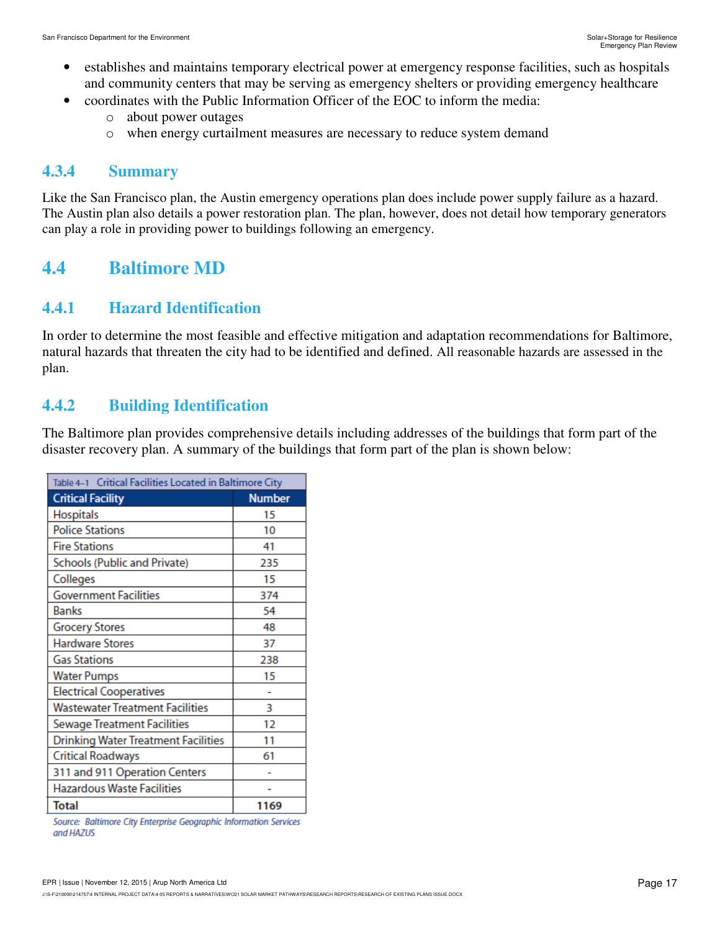- establishes and maintains temporary electrical power at emergency response facilities, such as hospitals and community centers that may be serving as emergency shelters or providing emergency healthcare
	- coordinates with the Public Information Officer of the EOC to inform the media:
		- o about power outages
		- o when energy curtailment measures are necessary to reduce system demand

#### **4.3.4 Summary**

Like the San Francisco plan, the Austin emergency operations plan does include power supply failure as a hazard. The Austin plan also details a power restoration plan. The plan, however, does not detail how temporary generators can play a role in providing power to buildings following an emergency.

## **4.4 Baltimore MD**

#### **4.4.1 Hazard Identification**

In order to determine the most feasible and effective mitigation and adaptation recommendations for Baltimore, natural hazards that threaten the city had to be identified and defined. All reasonable hazards are assessed in the plan.

### **4.4.2 Building Identification**

The Baltimore plan provides comprehensive details including addresses of the buildings that form part of the disaster recovery plan. A summary of the buildings that form part of the plan is shown below:

| Table 4-1 Critical Facilities Located in Baltimore City |               |  |  |  |
|---------------------------------------------------------|---------------|--|--|--|
| <b>Critical Facility</b>                                | <b>Number</b> |  |  |  |
| Hospitals                                               | 15            |  |  |  |
| <b>Police Stations</b>                                  | 10            |  |  |  |
| <b>Fire Stations</b>                                    | 41            |  |  |  |
| <b>Schools (Public and Private)</b>                     | 235           |  |  |  |
| Colleges                                                | 15            |  |  |  |
| <b>Government Facilities</b>                            | 374           |  |  |  |
| <b>Banks</b>                                            | 54            |  |  |  |
| <b>Grocery Stores</b>                                   | 48            |  |  |  |
| <b>Hardware Stores</b>                                  | 37            |  |  |  |
| <b>Gas Stations</b>                                     | 238           |  |  |  |
| <b>Water Pumps</b>                                      | 15            |  |  |  |
| <b>Electrical Cooperatives</b>                          |               |  |  |  |
| <b>Wastewater Treatment Facilities</b>                  | 3             |  |  |  |
| <b>Sewage Treatment Facilities</b>                      | 12            |  |  |  |
| <b>Drinking Water Treatment Facilities</b>              | 11            |  |  |  |
| <b>Critical Roadways</b>                                | 61            |  |  |  |
| 311 and 911 Operation Centers                           |               |  |  |  |
| <b>Hazardous Waste Facilities</b>                       |               |  |  |  |
| <b>Total</b>                                            | 1169          |  |  |  |

Source: Baltimore City Enterprise Geographic Information Services and HAZUS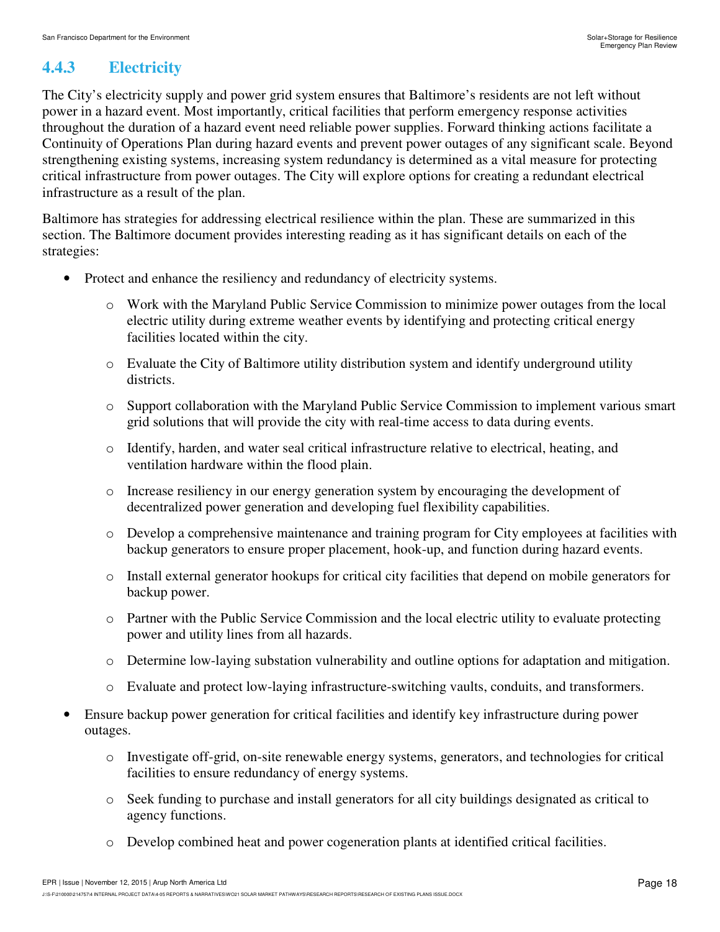## **4.4.3 Electricity**

The City's electricity supply and power grid system ensures that Baltimore's residents are not left without power in a hazard event. Most importantly, critical facilities that perform emergency response activities throughout the duration of a hazard event need reliable power supplies. Forward thinking actions facilitate a Continuity of Operations Plan during hazard events and prevent power outages of any significant scale. Beyond strengthening existing systems, increasing system redundancy is determined as a vital measure for protecting critical infrastructure from power outages. The City will explore options for creating a redundant electrical infrastructure as a result of the plan.

Baltimore has strategies for addressing electrical resilience within the plan. These are summarized in this section. The Baltimore document provides interesting reading as it has significant details on each of the strategies:

- Protect and enhance the resiliency and redundancy of electricity systems.
	- o Work with the Maryland Public Service Commission to minimize power outages from the local electric utility during extreme weather events by identifying and protecting critical energy facilities located within the city.
	- o Evaluate the City of Baltimore utility distribution system and identify underground utility districts.
	- o Support collaboration with the Maryland Public Service Commission to implement various smart grid solutions that will provide the city with real-time access to data during events.
	- $\circ$  Identify, harden, and water seal critical infrastructure relative to electrical, heating, and ventilation hardware within the flood plain.
	- o Increase resiliency in our energy generation system by encouraging the development of decentralized power generation and developing fuel flexibility capabilities.
	- o Develop a comprehensive maintenance and training program for City employees at facilities with backup generators to ensure proper placement, hook-up, and function during hazard events.
	- o Install external generator hookups for critical city facilities that depend on mobile generators for backup power.
	- o Partner with the Public Service Commission and the local electric utility to evaluate protecting power and utility lines from all hazards.
	- o Determine low-laying substation vulnerability and outline options for adaptation and mitigation.
	- o Evaluate and protect low-laying infrastructure-switching vaults, conduits, and transformers.
- Ensure backup power generation for critical facilities and identify key infrastructure during power outages.
	- o Investigate off-grid, on-site renewable energy systems, generators, and technologies for critical facilities to ensure redundancy of energy systems.
	- o Seek funding to purchase and install generators for all city buildings designated as critical to agency functions.
	- o Develop combined heat and power cogeneration plants at identified critical facilities.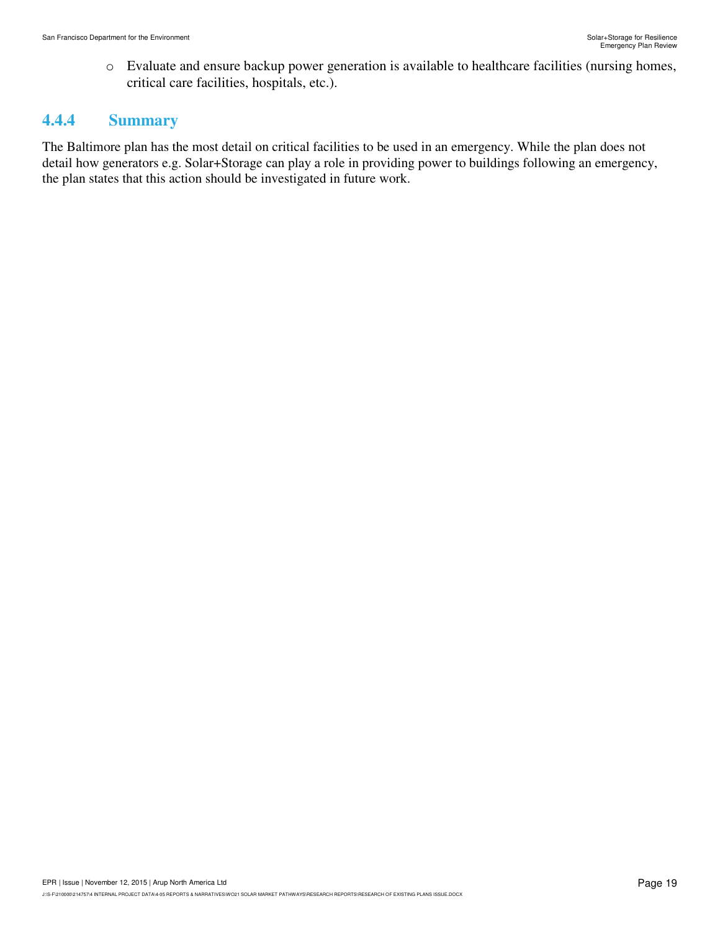o Evaluate and ensure backup power generation is available to healthcare facilities (nursing homes, critical care facilities, hospitals, etc.).

#### **4.4.4 Summary**

The Baltimore plan has the most detail on critical facilities to be used in an emergency. While the plan does not detail how generators e.g. Solar+Storage can play a role in providing power to buildings following an emergency, the plan states that this action should be investigated in future work.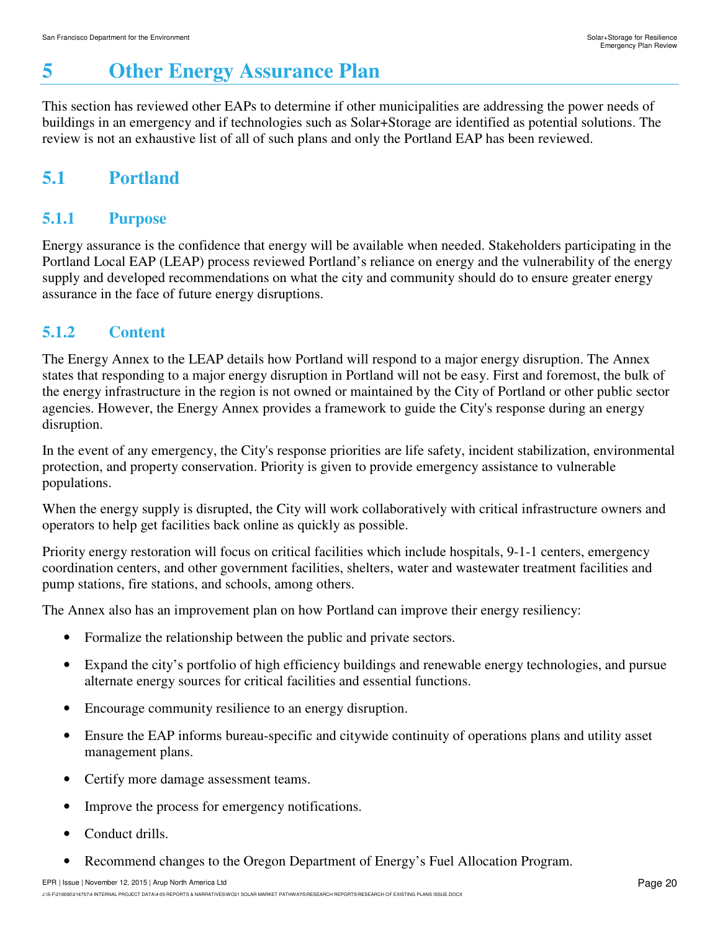# **5 Other Energy Assurance Plan**

This section has reviewed other EAPs to determine if other municipalities are addressing the power needs of buildings in an emergency and if technologies such as Solar+Storage are identified as potential solutions. The review is not an exhaustive list of all of such plans and only the Portland EAP has been reviewed.

# **5.1 Portland**

### **5.1.1 Purpose**

Energy assurance is the confidence that energy will be available when needed. Stakeholders participating in the Portland Local EAP (LEAP) process reviewed Portland's reliance on energy and the vulnerability of the energy supply and developed recommendations on what the city and community should do to ensure greater energy assurance in the face of future energy disruptions.

### **5.1.2 Content**

The Energy Annex to the LEAP details how Portland will respond to a major energy disruption. The Annex states that responding to a major energy disruption in Portland will not be easy. First and foremost, the bulk of the energy infrastructure in the region is not owned or maintained by the City of Portland or other public sector agencies. However, the Energy Annex provides a framework to guide the City's response during an energy disruption.

In the event of any emergency, the City's response priorities are life safety, incident stabilization, environmental protection, and property conservation. Priority is given to provide emergency assistance to vulnerable populations.

When the energy supply is disrupted, the City will work collaboratively with critical infrastructure owners and operators to help get facilities back online as quickly as possible.

Priority energy restoration will focus on critical facilities which include hospitals, 9-1-1 centers, emergency coordination centers, and other government facilities, shelters, water and wastewater treatment facilities and pump stations, fire stations, and schools, among others.

The Annex also has an improvement plan on how Portland can improve their energy resiliency:

- Formalize the relationship between the public and private sectors.
- Expand the city's portfolio of high efficiency buildings and renewable energy technologies, and pursue alternate energy sources for critical facilities and essential functions.
- Encourage community resilience to an energy disruption.
- Ensure the EAP informs bureau-specific and citywide continuity of operations plans and utility asset management plans.
- Certify more damage assessment teams.
- Improve the process for emergency notifications.
- Conduct drills.
- Recommend changes to the Oregon Department of Energy's Fuel Allocation Program.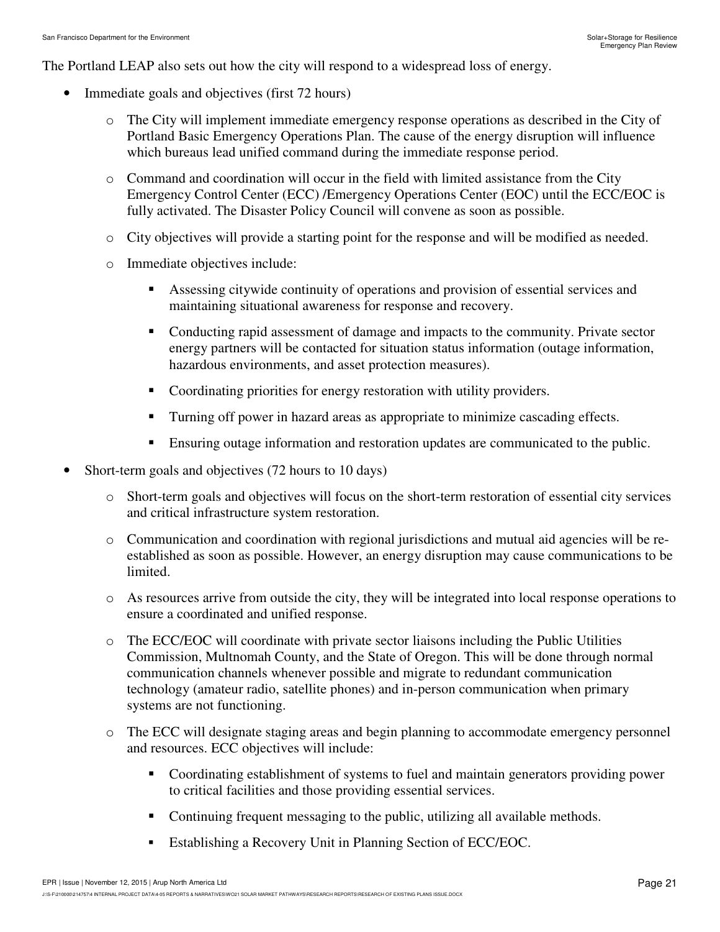The Portland LEAP also sets out how the city will respond to a widespread loss of energy.

- Immediate goals and objectives (first 72 hours)
	- o The City will implement immediate emergency response operations as described in the City of Portland Basic Emergency Operations Plan. The cause of the energy disruption will influence which bureaus lead unified command during the immediate response period.
	- o Command and coordination will occur in the field with limited assistance from the City Emergency Control Center (ECC) /Emergency Operations Center (EOC) until the ECC/EOC is fully activated. The Disaster Policy Council will convene as soon as possible.
	- o City objectives will provide a starting point for the response and will be modified as needed.
	- o Immediate objectives include:
		- - Assessing citywide continuity of operations and provision of essential services and maintaining situational awareness for response and recovery.
		- - Conducting rapid assessment of damage and impacts to the community. Private sector energy partners will be contacted for situation status information (outage information, hazardous environments, and asset protection measures).
		- Coordinating priorities for energy restoration with utility providers.
		- -Turning off power in hazard areas as appropriate to minimize cascading effects.
		- -Ensuring outage information and restoration updates are communicated to the public.
- Short-term goals and objectives (72 hours to 10 days)
	- o Short-term goals and objectives will focus on the short-term restoration of essential city services and critical infrastructure system restoration.
	- $\circ$  Communication and coordination with regional jurisdictions and mutual aid agencies will be reestablished as soon as possible. However, an energy disruption may cause communications to be limited.
	- o As resources arrive from outside the city, they will be integrated into local response operations to ensure a coordinated and unified response.
	- o The ECC/EOC will coordinate with private sector liaisons including the Public Utilities Commission, Multnomah County, and the State of Oregon. This will be done through normal communication channels whenever possible and migrate to redundant communication technology (amateur radio, satellite phones) and in-person communication when primary systems are not functioning.
	- o The ECC will designate staging areas and begin planning to accommodate emergency personnel and resources. ECC objectives will include:
		- - Coordinating establishment of systems to fuel and maintain generators providing power to critical facilities and those providing essential services.
		- -Continuing frequent messaging to the public, utilizing all available methods.
		- -Establishing a Recovery Unit in Planning Section of ECC/EOC.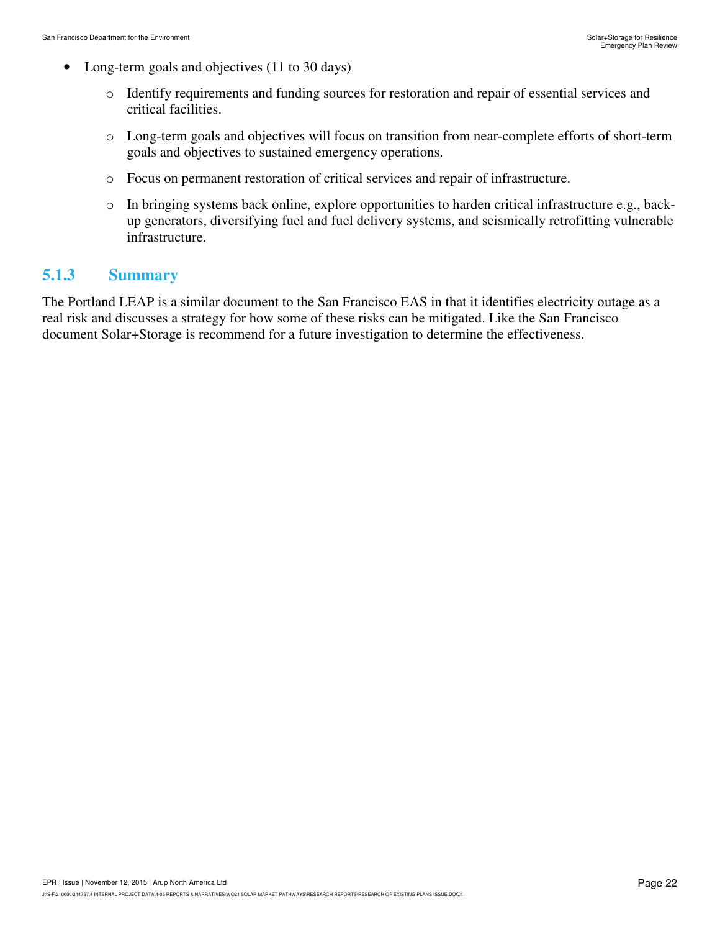- Long-term goals and objectives (11 to 30 days)
	- o Identify requirements and funding sources for restoration and repair of essential services and critical facilities.
	- o Long-term goals and objectives will focus on transition from near-complete efforts of short-term goals and objectives to sustained emergency operations.
	- o Focus on permanent restoration of critical services and repair of infrastructure.
	- o In bringing systems back online, explore opportunities to harden critical infrastructure e.g., backup generators, diversifying fuel and fuel delivery systems, and seismically retrofitting vulnerable infrastructure.

#### **5.1.3 Summary**

The Portland LEAP is a similar document to the San Francisco EAS in that it identifies electricity outage as a real risk and discusses a strategy for how some of these risks can be mitigated. Like the San Francisco document Solar+Storage is recommend for a future investigation to determine the effectiveness.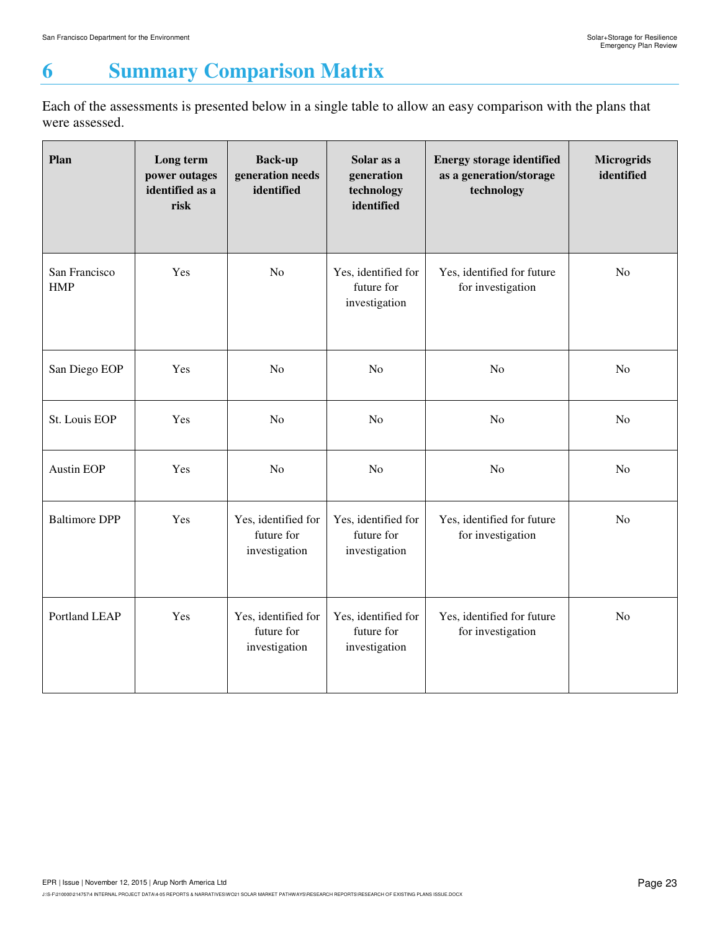# **6 Summary Comparison Matrix**

Each of the assessments is presented below in a single table to allow an easy comparison with the plans that were assessed.

| Plan                        | Long term<br>power outages<br>identified as a<br>risk | <b>Back-up</b><br>generation needs<br>identified   | Solar as a<br>generation<br>technology<br>identified | <b>Energy storage identified</b><br>as a generation/storage<br>technology | <b>Microgrids</b><br>identified |
|-----------------------------|-------------------------------------------------------|----------------------------------------------------|------------------------------------------------------|---------------------------------------------------------------------------|---------------------------------|
| San Francisco<br><b>HMP</b> | Yes                                                   | N <sub>o</sub>                                     | Yes, identified for<br>future for<br>investigation   | Yes, identified for future<br>for investigation                           | N <sub>o</sub>                  |
| San Diego EOP               | Yes                                                   | N <sub>o</sub>                                     | N <sub>o</sub>                                       | N <sub>o</sub>                                                            | N <sub>o</sub>                  |
| St. Louis EOP               | Yes                                                   | N <sub>o</sub>                                     | N <sub>o</sub>                                       | No                                                                        | N <sub>o</sub>                  |
| <b>Austin EOP</b>           | Yes                                                   | N <sub>o</sub>                                     | N <sub>o</sub>                                       | N <sub>o</sub>                                                            | N <sub>o</sub>                  |
| <b>Baltimore DPP</b>        | Yes                                                   | Yes, identified for<br>future for<br>investigation | Yes, identified for<br>future for<br>investigation   | Yes, identified for future<br>for investigation                           | No                              |
| Portland LEAP               | Yes                                                   | Yes, identified for<br>future for<br>investigation | Yes, identified for<br>future for<br>investigation   | Yes, identified for future<br>for investigation                           | N <sub>o</sub>                  |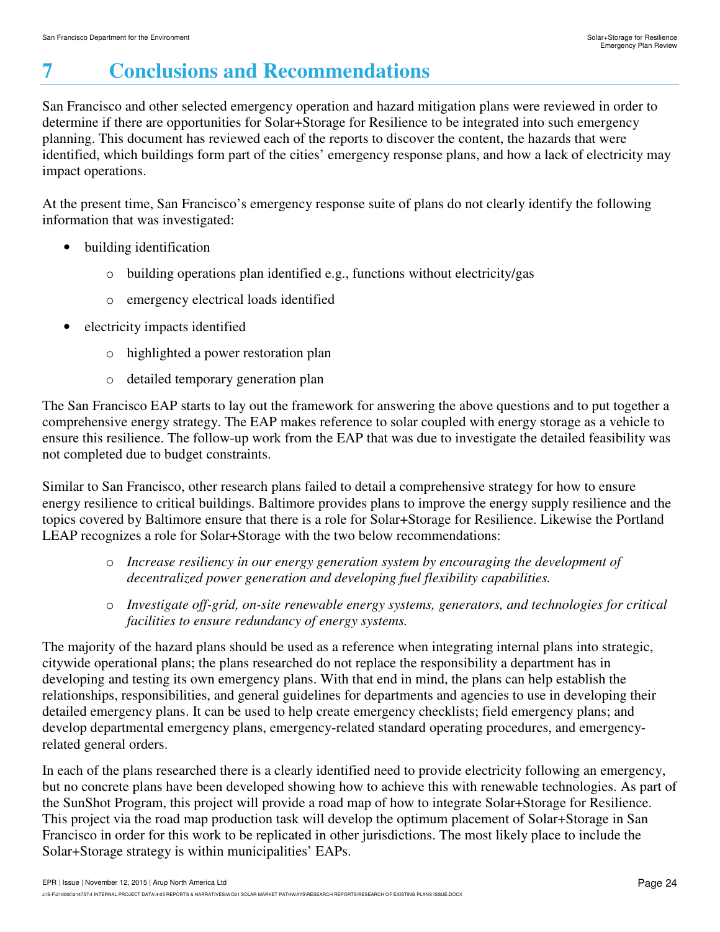# **7 Conclusions and Recommendations**

San Francisco and other selected emergency operation and hazard mitigation plans were reviewed in order to determine if there are opportunities for Solar+Storage for Resilience to be integrated into such emergency planning. This document has reviewed each of the reports to discover the content, the hazards that were identified, which buildings form part of the cities' emergency response plans, and how a lack of electricity may impact operations.

At the present time, San Francisco's emergency response suite of plans do not clearly identify the following information that was investigated:

- building identification
	- o building operations plan identified e.g., functions without electricity/gas
	- o emergency electrical loads identified
- electricity impacts identified
	- o highlighted a power restoration plan
	- o detailed temporary generation plan

The San Francisco EAP starts to lay out the framework for answering the above questions and to put together a comprehensive energy strategy. The EAP makes reference to solar coupled with energy storage as a vehicle to ensure this resilience. The follow-up work from the EAP that was due to investigate the detailed feasibility was not completed due to budget constraints.

Similar to San Francisco, other research plans failed to detail a comprehensive strategy for how to ensure energy resilience to critical buildings. Baltimore provides plans to improve the energy supply resilience and the topics covered by Baltimore ensure that there is a role for Solar+Storage for Resilience. Likewise the Portland LEAP recognizes a role for Solar+Storage with the two below recommendations:

- o *Increase resiliency in our energy generation system by encouraging the development of decentralized power generation and developing fuel flexibility capabilities.*
- o *Investigate off-grid, on-site renewable energy systems, generators, and technologies for critical facilities to ensure redundancy of energy systems.*

The majority of the hazard plans should be used as a reference when integrating internal plans into strategic, citywide operational plans; the plans researched do not replace the responsibility a department has in developing and testing its own emergency plans. With that end in mind, the plans can help establish the relationships, responsibilities, and general guidelines for departments and agencies to use in developing their detailed emergency plans. It can be used to help create emergency checklists; field emergency plans; and develop departmental emergency plans, emergency-related standard operating procedures, and emergencyrelated general orders.

In each of the plans researched there is a clearly identified need to provide electricity following an emergency, but no concrete plans have been developed showing how to achieve this with renewable technologies. As part of the SunShot Program, this project will provide a road map of how to integrate Solar+Storage for Resilience. This project via the road map production task will develop the optimum placement of Solar+Storage in San Francisco in order for this work to be replicated in other jurisdictions. The most likely place to include the Solar+Storage strategy is within municipalities' EAPs.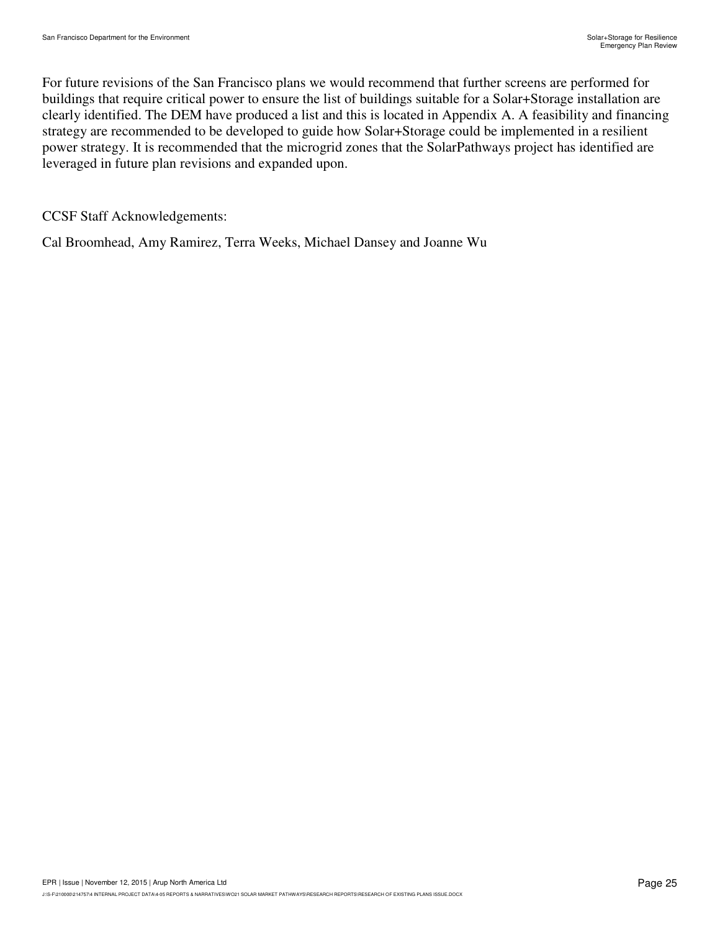For future revisions of the San Francisco plans we would recommend that further screens are performed for buildings that require critical power to ensure the list of buildings suitable for a Solar+Storage installation are clearly identified. The DEM have produced a list and this is located in Appendix A. A feasibility and financing strategy are recommended to be developed to guide how Solar+Storage could be implemented in a resilient power strategy. It is recommended that the microgrid zones that the SolarPathways project has identified are leveraged in future plan revisions and expanded upon.

CCSF Staff Acknowledgements:

Cal Broomhead, Amy Ramirez, Terra Weeks, Michael Dansey and Joanne Wu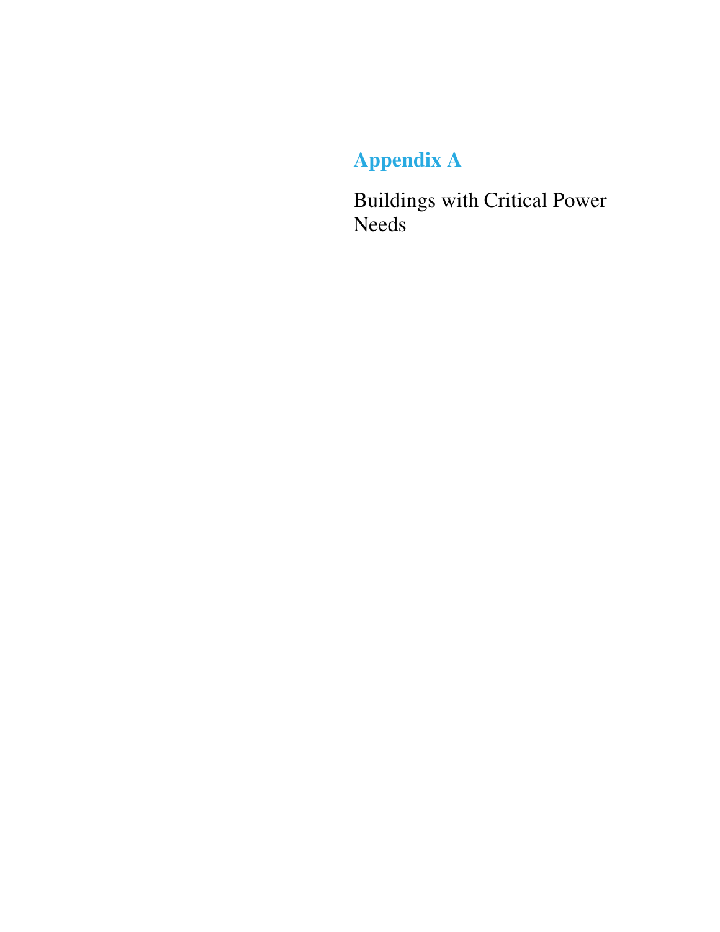# **Appendix A**

Buildings with Critical Power Needs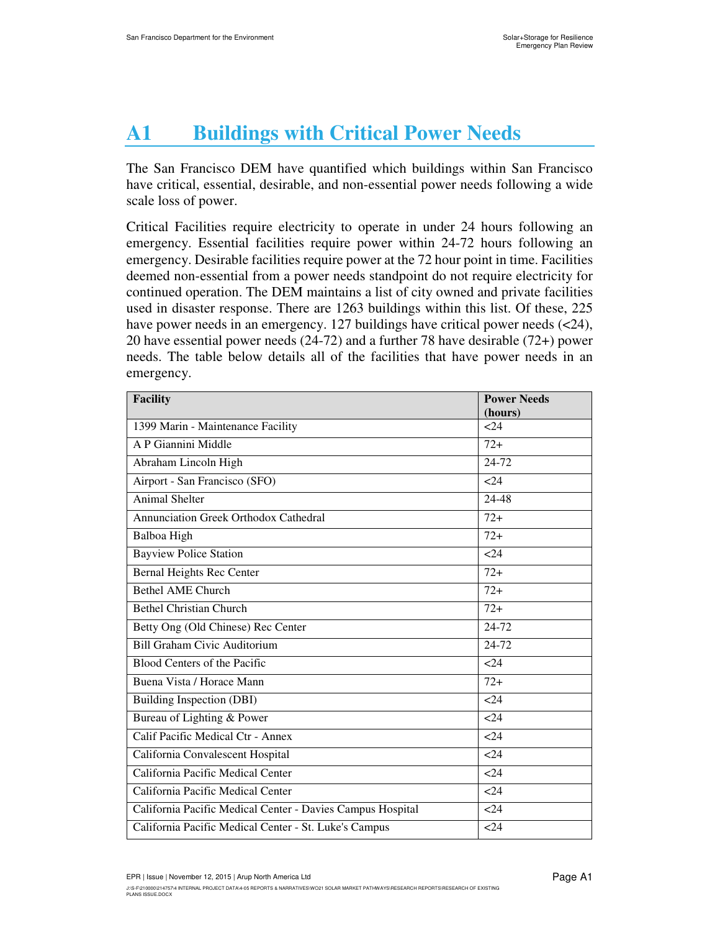# **A1 Buildings with Critical Power Needs**

The San Francisco DEM have quantified which buildings within San Francisco have critical, essential, desirable, and non-essential power needs following a wide scale loss of power.

Critical Facilities require electricity to operate in under 24 hours following an emergency. Essential facilities require power within 24-72 hours following an emergency. Desirable facilities require power at the 72 hour point in time. Facilities deemed non-essential from a power needs standpoint do not require electricity for continued operation. The DEM maintains a list of city owned and private facilities used in disaster response. There are 1263 buildings within this list. Of these, 225 have power needs in an emergency. 127 buildings have critical power needs (<24), 20 have essential power needs (24-72) and a further 78 have desirable (72+) power needs. The table below details all of the facilities that have power needs in an emergency.

| <b>Facility</b>                                            | <b>Power Needs</b> |  |  |  |
|------------------------------------------------------------|--------------------|--|--|--|
|                                                            | (hours)            |  |  |  |
| 1399 Marin - Maintenance Facility                          | 24                 |  |  |  |
| A P Giannini Middle                                        | $72+$              |  |  |  |
| Abraham Lincoln High                                       | 24-72              |  |  |  |
| Airport - San Francisco (SFO)                              | 24                 |  |  |  |
| <b>Animal Shelter</b>                                      | 24-48              |  |  |  |
| Annunciation Greek Orthodox Cathedral                      | $72+$              |  |  |  |
| Balboa High                                                | $72+$              |  |  |  |
| <b>Bayview Police Station</b>                              | $24$               |  |  |  |
| <b>Bernal Heights Rec Center</b>                           | $72+$              |  |  |  |
| <b>Bethel AME Church</b>                                   | $72+$              |  |  |  |
| <b>Bethel Christian Church</b>                             | $72+$              |  |  |  |
| Betty Ong (Old Chinese) Rec Center                         | 24-72              |  |  |  |
| <b>Bill Graham Civic Auditorium</b>                        | 24-72              |  |  |  |
| Blood Centers of the Pacific                               | 24                 |  |  |  |
| Buena Vista / Horace Mann                                  | $72+$              |  |  |  |
| <b>Building Inspection (DBI)</b>                           | <24                |  |  |  |
| Bureau of Lighting & Power                                 | 24                 |  |  |  |
| Calif Pacific Medical Ctr - Annex                          | 24                 |  |  |  |
| California Convalescent Hospital                           | 24                 |  |  |  |
| California Pacific Medical Center                          | 24                 |  |  |  |
| California Pacific Medical Center                          | 24                 |  |  |  |
| California Pacific Medical Center - Davies Campus Hospital | 24                 |  |  |  |
| California Pacific Medical Center - St. Luke's Campus      | < 24               |  |  |  |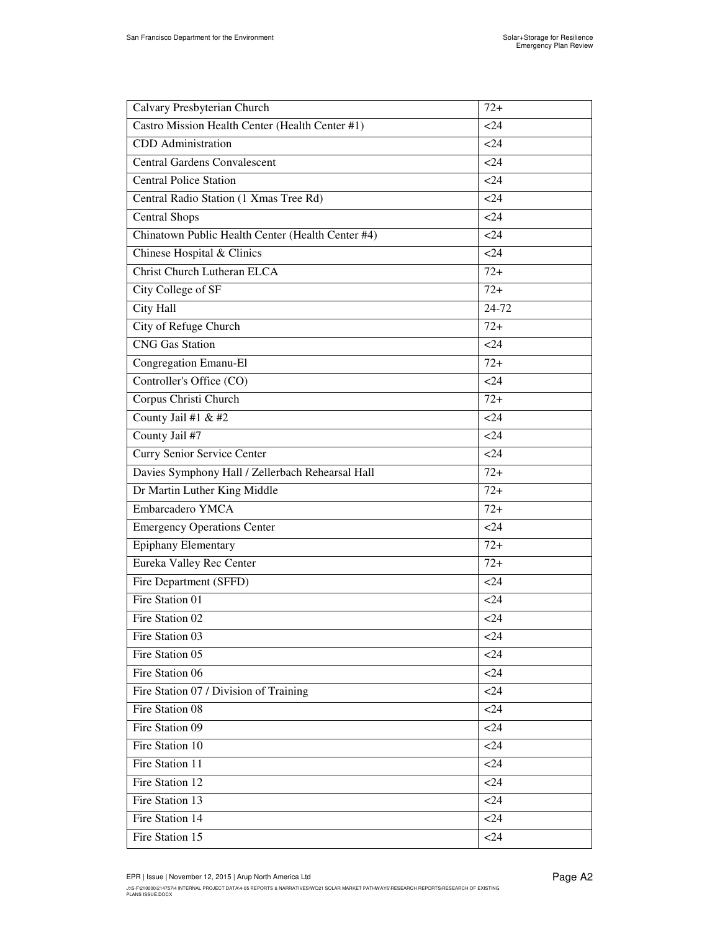| Calvary Presbyterian Church                       | $72+$ |
|---------------------------------------------------|-------|
| Castro Mission Health Center (Health Center #1)   | $24$  |
| CDD Administration                                | $24$  |
| <b>Central Gardens Convalescent</b>               | $24$  |
| <b>Central Police Station</b>                     | $24$  |
| Central Radio Station (1 Xmas Tree Rd)            | <24   |
| <b>Central Shops</b>                              | $24$  |
| Chinatown Public Health Center (Health Center #4) | <24   |
| Chinese Hospital & Clinics                        | 24    |
| <b>Christ Church Lutheran ELCA</b>                | $72+$ |
| City College of SF                                | $72+$ |
| <b>City Hall</b>                                  | 24-72 |
| City of Refuge Church                             | $72+$ |
| <b>CNG</b> Gas Station                            | $24$  |
| Congregation Emanu-El                             | $72+$ |
| Controller's Office (CO)                          | $24$  |
| Corpus Christi Church                             | $72+$ |
| County Jail #1 & #2                               | <24   |
| County Jail #7                                    | $24$  |
| Curry Senior Service Center                       | $24$  |
| Davies Symphony Hall / Zellerbach Rehearsal Hall  | $72+$ |
| Dr Martin Luther King Middle                      | $72+$ |
| Embarcadero YMCA                                  | $72+$ |
| <b>Emergency Operations Center</b>                | $24$  |
| <b>Epiphany Elementary</b>                        | $72+$ |
| Eureka Valley Rec Center                          | $72+$ |
| Fire Department (SFFD)                            | $24$  |
| Fire Station 01                                   | $24$  |
| Fire Station 02                                   | $24$  |
| Fire Station 03                                   | < 24  |
| Fire Station 05                                   | $24$  |
| Fire Station 06                                   | $24$  |
| Fire Station 07 / Division of Training            | < 24  |
| Fire Station 08                                   | $24$  |
| Fire Station 09                                   | < 24  |
| Fire Station 10                                   | < 24  |
| Fire Station 11                                   | 24    |
| Fire Station 12                                   | $24$  |
| Fire Station 13                                   | $24$  |
| Fire Station 14                                   | $24$  |
| Fire Station 15                                   | <24   |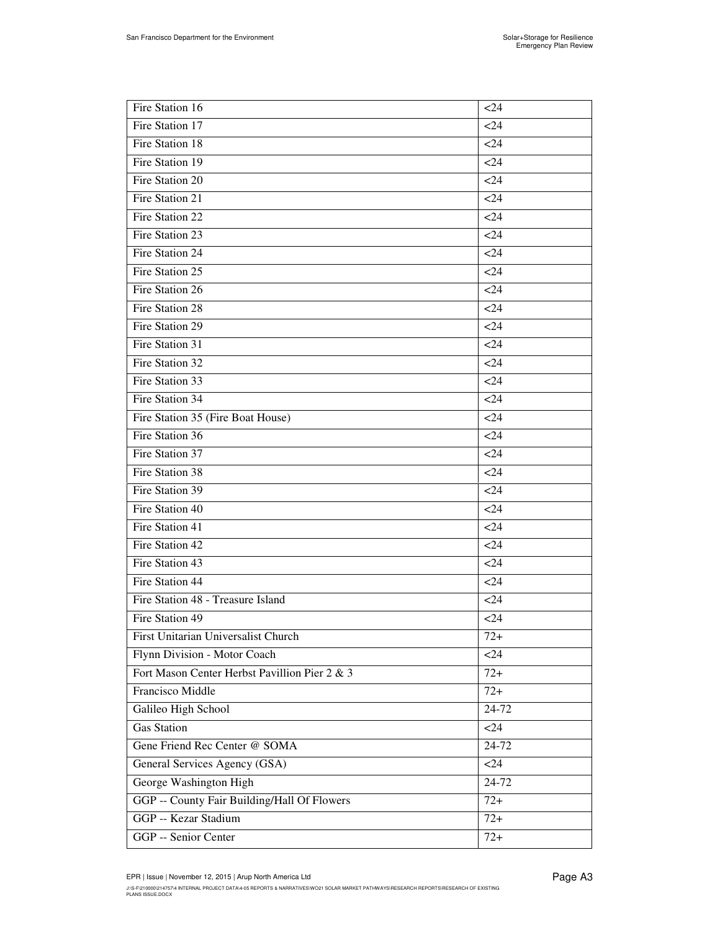| Fire Station 16                               | 24     |
|-----------------------------------------------|--------|
| Fire Station 17                               | $<$ 24 |
| Fire Station 18                               | $<$ 24 |
| Fire Station 19                               | 24     |
| Fire Station 20                               | < 24   |
| Fire Station 21                               | < 24   |
| Fire Station 22                               | $<$ 24 |
| Fire Station 23                               | $<$ 24 |
| Fire Station 24                               | < 24   |
| Fire Station 25                               | 24     |
| Fire Station 26                               | $24$   |
| Fire Station 28                               | $<$ 24 |
| Fire Station 29                               | < 24   |
| Fire Station 31                               | $<$ 24 |
| Fire Station 32                               | $<$ 24 |
| Fire Station 33                               | < 24   |
| Fire Station 34                               | $<$ 24 |
| Fire Station 35 (Fire Boat House)             | < 24   |
| Fire Station 36                               | $24$   |
| Fire Station 37                               | $<$ 24 |
| Fire Station 38                               | $<$ 24 |
| Fire Station 39                               | 24     |
| Fire Station 40                               | $24$   |
| Fire Station 41                               | $<$ 24 |
| Fire Station 42                               | 24     |
| Fire Station 43                               | $24$   |
| Fire Station 44                               | $<$ 24 |
| Fire Station 48 - Treasure Island             | < 24   |
| Fire Station 49                               | < 24   |
| First Unitarian Universalist Church           | $72+$  |
| Flynn Division - Motor Coach                  | $24$   |
| Fort Mason Center Herbst Pavillion Pier 2 & 3 | $72+$  |
| Francisco Middle                              | $72+$  |
| Galileo High School                           | 24-72  |
| <b>Gas Station</b>                            | $24$   |
| Gene Friend Rec Center @ SOMA                 | 24-72  |
| General Services Agency (GSA)                 | $24$   |
| George Washington High                        | 24-72  |
| GGP -- County Fair Building/Hall Of Flowers   | $72+$  |
| GGP -- Kezar Stadium                          | $72+$  |
| GGP -- Senior Center                          | $72+$  |

J:\S-F\210000\214757\4 INTERNAL PROJECT DATA\4-05 REPORTS & NARRATIVES\WO21 SOLAR MARKET PATHWAYS\RESEARCH REPORTS\RESEARCH OF EXISTING<br>PLANS ISSUE.DOCX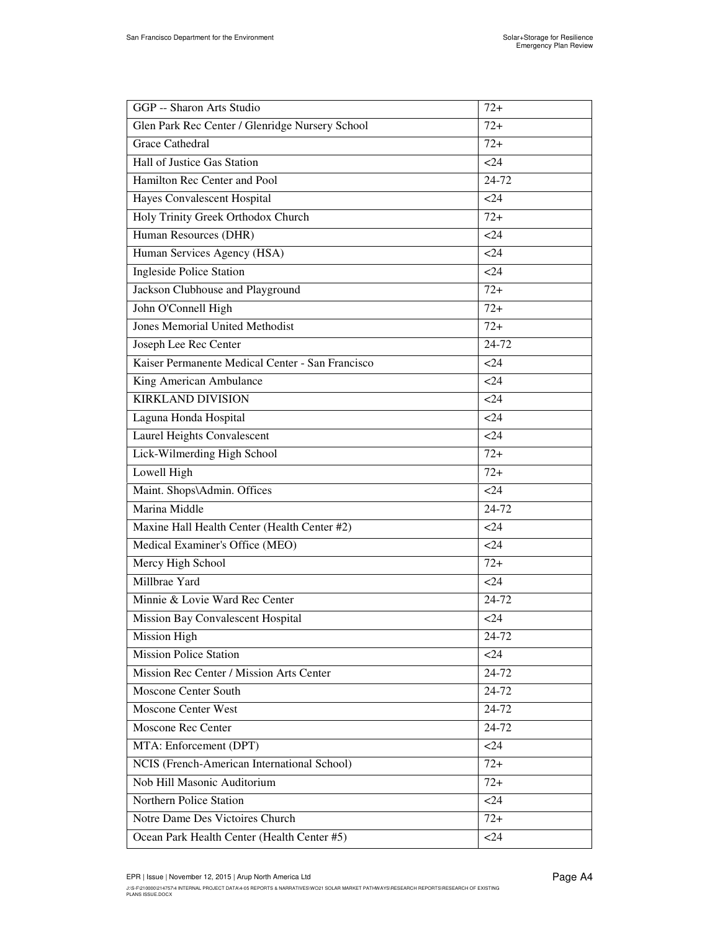| GGP -- Sharon Arts Studio                        | $72+$  |
|--------------------------------------------------|--------|
| Glen Park Rec Center / Glenridge Nursery School  | $72+$  |
| <b>Grace Cathedral</b>                           | $72+$  |
| Hall of Justice Gas Station                      | <24    |
| Hamilton Rec Center and Pool                     | 24-72  |
| Hayes Convalescent Hospital                      | <24    |
| Holy Trinity Greek Orthodox Church               | $72+$  |
| Human Resources (DHR)                            | < 24   |
| Human Services Agency (HSA)                      | <24    |
| <b>Ingleside Police Station</b>                  | $24$   |
| Jackson Clubhouse and Playground                 | $72+$  |
| John O'Connell High                              | $72+$  |
| <b>Jones Memorial United Methodist</b>           | $72+$  |
| Joseph Lee Rec Center                            | 24-72  |
| Kaiser Permanente Medical Center - San Francisco | $24$   |
| King American Ambulance                          | <24    |
| <b>KIRKLAND DIVISION</b>                         | <24    |
| Laguna Honda Hospital                            | <24    |
| Laurel Heights Convalescent                      | <24    |
| Lick-Wilmerding High School                      | $72+$  |
| Lowell High                                      | $72+$  |
| Maint. Shops\Admin. Offices                      | $24$   |
| Marina Middle                                    | 24-72  |
| Maxine Hall Health Center (Health Center #2)     | <24    |
| Medical Examiner's Office (MEO)                  | $24$   |
| Mercy High School                                | $72+$  |
| Millbrae Yard                                    | $24$   |
| Minnie & Lovie Ward Rec Center                   | 24-72  |
| Mission Bay Convalescent Hospital                | $24$   |
| <b>Mission High</b>                              | 24-72  |
| <b>Mission Police Station</b>                    | $<$ 24 |
| Mission Rec Center / Mission Arts Center         | 24-72  |
| Moscone Center South                             | 24-72  |
| <b>Moscone Center West</b>                       | 24-72  |
| <b>Moscone Rec Center</b>                        | 24-72  |
| MTA: Enforcement (DPT)                           | $24$   |
| NCIS (French-American International School)      | $72+$  |
| Nob Hill Masonic Auditorium                      | $72+$  |
| Northern Police Station                          | $24$   |
| Notre Dame Des Victoires Church                  | $72+$  |
| Ocean Park Health Center (Health Center #5)      | $24$   |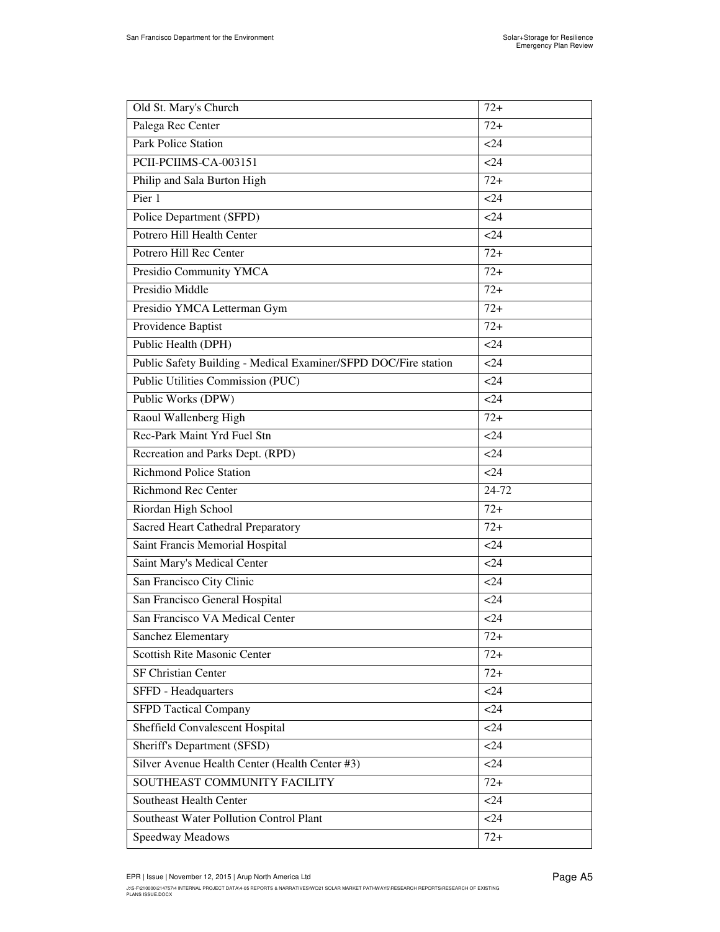| Old St. Mary's Church                                           | $72+$  |
|-----------------------------------------------------------------|--------|
| Palega Rec Center                                               | $72+$  |
| <b>Park Police Station</b>                                      | $24$   |
| PCII-PCIIMS-CA-003151                                           | <24    |
| Philip and Sala Burton High                                     | $72+$  |
| Pier 1                                                          | <24    |
| Police Department (SFPD)                                        | <24    |
| Potrero Hill Health Center                                      | <24    |
| Potrero Hill Rec Center                                         | $72+$  |
| Presidio Community YMCA                                         | $72+$  |
| Presidio Middle                                                 | $72+$  |
| Presidio YMCA Letterman Gym                                     | $72+$  |
| Providence Baptist                                              | $72+$  |
| Public Health (DPH)                                             | <24    |
| Public Safety Building - Medical Examiner/SFPD DOC/Fire station | $24$   |
| Public Utilities Commission (PUC)                               | <24    |
| Public Works (DPW)                                              | $24$   |
| Raoul Wallenberg High                                           | $72+$  |
| Rec-Park Maint Yrd Fuel Stn                                     | <24    |
| Recreation and Parks Dept. (RPD)                                | <24    |
| <b>Richmond Police Station</b>                                  | <24    |
| <b>Richmond Rec Center</b>                                      | 24-72  |
| Riordan High School                                             | $72+$  |
| Sacred Heart Cathedral Preparatory                              | $72+$  |
| Saint Francis Memorial Hospital                                 | <24    |
| Saint Mary's Medical Center                                     | <24    |
| San Francisco City Clinic                                       | $<$ 24 |
| San Francisco General Hospital                                  | <24    |
| San Francisco VA Medical Center                                 | < 24   |
| Sanchez Elementary                                              | $72+$  |
| <b>Scottish Rite Masonic Center</b>                             | $72+$  |
| <b>SF Christian Center</b>                                      | $72+$  |
| SFFD - Headquarters                                             | <24    |
| <b>SFPD Tactical Company</b>                                    | $24$   |
| Sheffield Convalescent Hospital                                 | <24    |
| Sheriff's Department (SFSD)                                     | $24$   |
| Silver Avenue Health Center (Health Center #3)                  | $24$   |
| SOUTHEAST COMMUNITY FACILITY                                    | $72+$  |
| Southeast Health Center                                         | $24$   |
| Southeast Water Pollution Control Plant                         | $24$   |
| Speedway Meadows                                                | $72+$  |